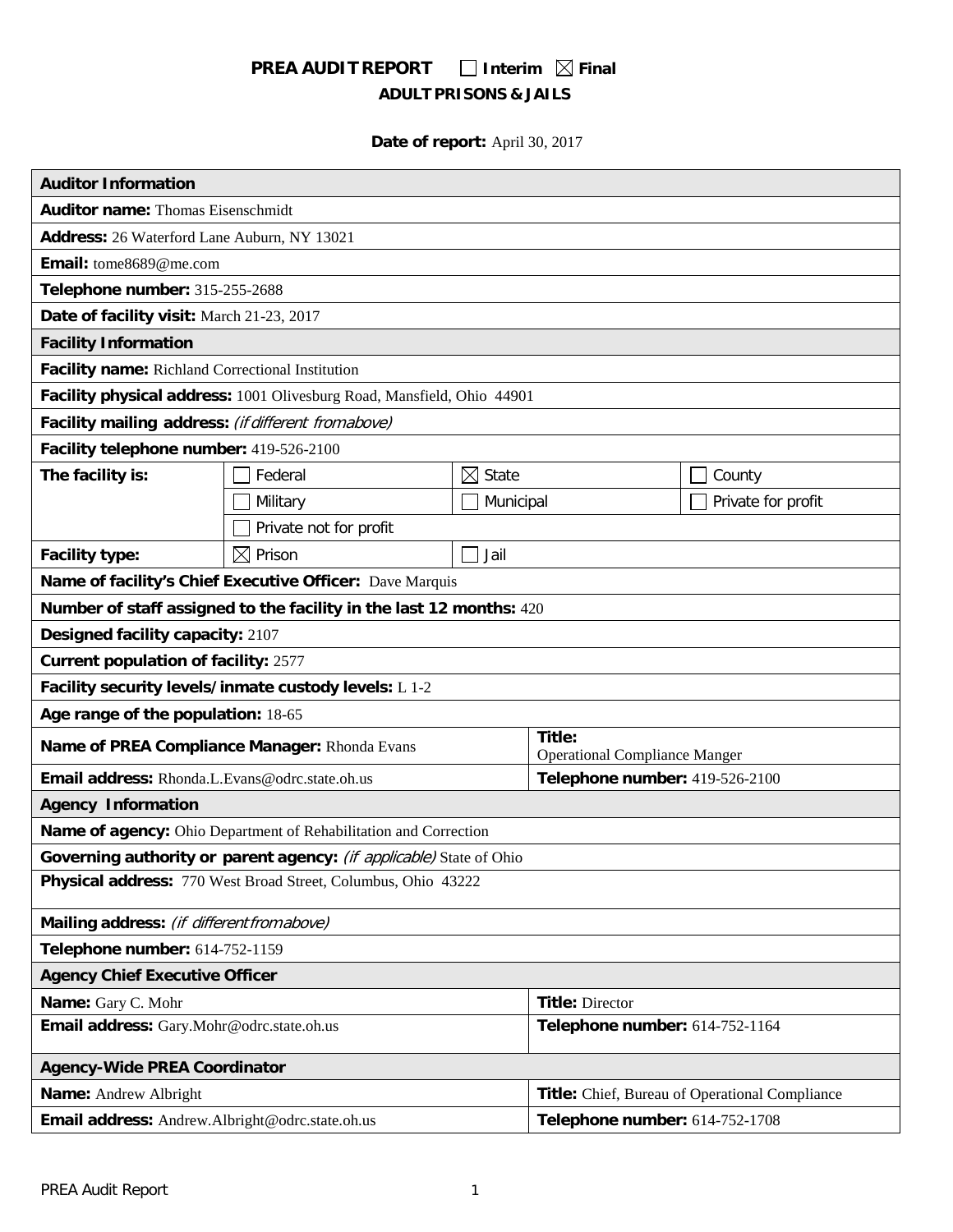# **PREA AUDIT REPORT** □ Interim  $\boxtimes$  Final **ADULT PRISONS & JAILS**

**Date of report:** April 30, 2017

| <b>Auditor Information</b>                                             |                        |                      |                                                |                    |
|------------------------------------------------------------------------|------------------------|----------------------|------------------------------------------------|--------------------|
| <b>Auditor name: Thomas Eisenschmidt</b>                               |                        |                      |                                                |                    |
| Address: 26 Waterford Lane Auburn, NY 13021                            |                        |                      |                                                |                    |
| Email: tome8689@me.com                                                 |                        |                      |                                                |                    |
| Telephone number: 315-255-2688                                         |                        |                      |                                                |                    |
| Date of facility visit: March 21-23, 2017                              |                        |                      |                                                |                    |
| <b>Facility Information</b>                                            |                        |                      |                                                |                    |
| Facility name: Richland Correctional Institution                       |                        |                      |                                                |                    |
| Facility physical address: 1001 Olivesburg Road, Mansfield, Ohio 44901 |                        |                      |                                                |                    |
| Facility mailing address: (if different from above)                    |                        |                      |                                                |                    |
| Facility telephone number: 419-526-2100                                |                        |                      |                                                |                    |
| The facility is:                                                       | Federal                | $\boxtimes$<br>State |                                                | County             |
|                                                                        | Military               | Municipal            |                                                | Private for profit |
|                                                                        | Private not for profit |                      |                                                |                    |
| Facility type:                                                         | $\boxtimes$ Prison     | Jail                 |                                                |                    |
| Name of facility's Chief Executive Officer: Dave Marquis               |                        |                      |                                                |                    |
| Number of staff assigned to the facility in the last 12 months: 420    |                        |                      |                                                |                    |
| Designed facility capacity: 2107                                       |                        |                      |                                                |                    |
| <b>Current population of facility: 2577</b>                            |                        |                      |                                                |                    |
| Facility security levels/inmate custody levels: L 1-2                  |                        |                      |                                                |                    |
| Age range of the population: 18-65                                     |                        |                      |                                                |                    |
| Name of PREA Compliance Manager: Rhonda Evans                          |                        |                      | Title:<br><b>Operational Compliance Manger</b> |                    |
| Email address: Rhonda.L.Evans@odrc.state.oh.us                         |                        |                      | Telephone number: 419-526-2100                 |                    |
| <b>Agency Information</b>                                              |                        |                      |                                                |                    |
| Name of agency: Ohio Department of Rehabilitation and Correction       |                        |                      |                                                |                    |
| Governing authority or parent agency: (if applicable) State of Ohio    |                        |                      |                                                |                    |
| Physical address: 770 West Broad Street, Columbus, Ohio 43222          |                        |                      |                                                |                    |
| Mailing address: (if different from above)                             |                        |                      |                                                |                    |
| Telephone number: 614-752-1159                                         |                        |                      |                                                |                    |
| <b>Agency Chief Executive Officer</b>                                  |                        |                      |                                                |                    |
| Name: Gary C. Mohr                                                     |                        |                      | <b>Title: Director</b>                         |                    |
| Email address: Gary.Mohr@odrc.state.oh.us                              |                        |                      | Telephone number: 614-752-1164                 |                    |
| <b>Agency-Wide PREA Coordinator</b>                                    |                        |                      |                                                |                    |
| Name: Andrew Albright                                                  |                        |                      | Title: Chief, Bureau of Operational Compliance |                    |
| Email address: Andrew.Albright@odrc.state.oh.us                        |                        |                      | Telephone number: 614-752-1708                 |                    |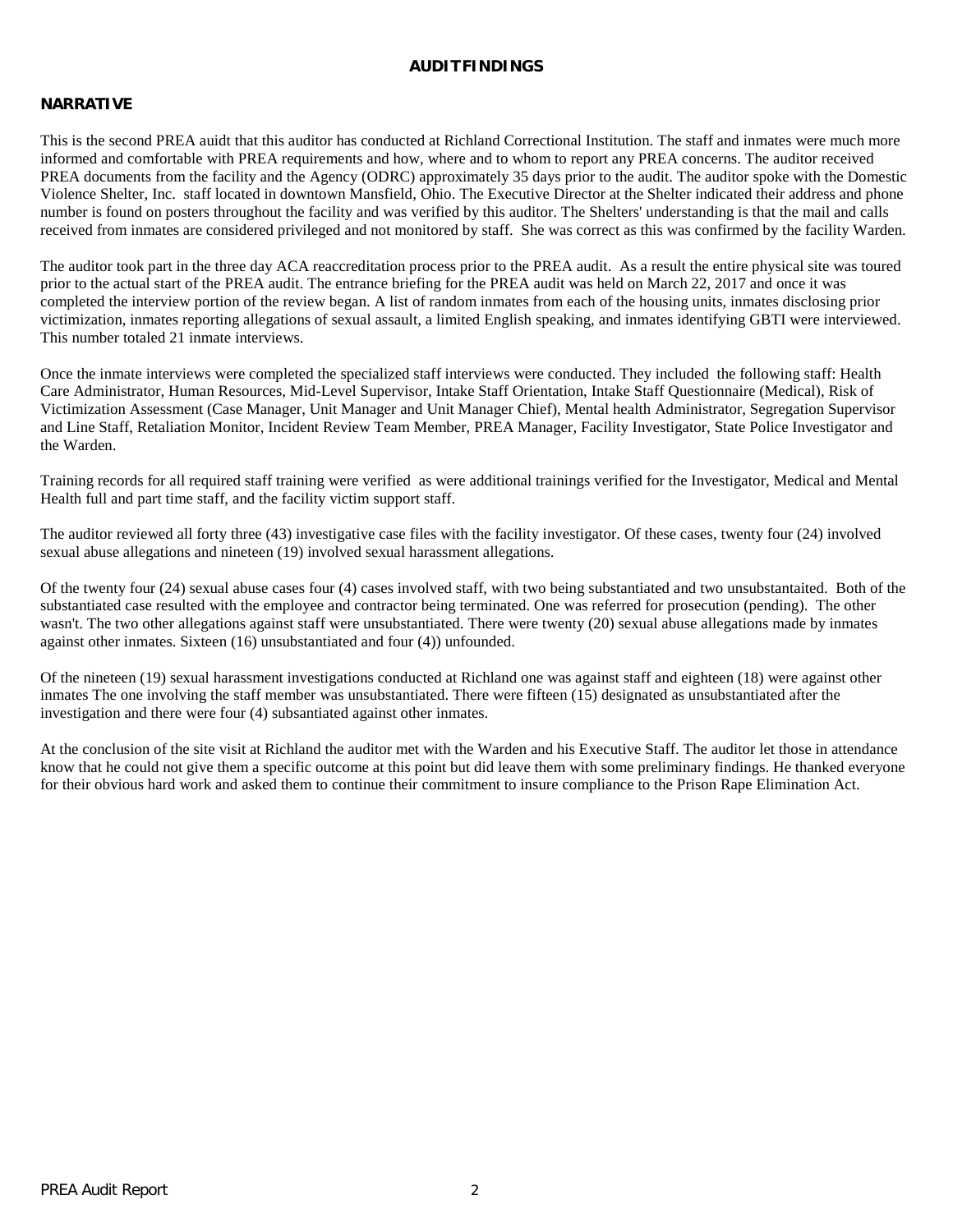### **AUDITFINDINGS**

# **NARRATIVE**

This is the second PREA auidt that this auditor has conducted at Richland Correctional Institution. The staff and inmates were much more informed and comfortable with PREA requirements and how, where and to whom to report any PREA concerns. The auditor received PREA documents from the facility and the Agency (ODRC) approximately 35 days prior to the audit. The auditor spoke with the Domestic Violence Shelter, Inc. staff located in downtown Mansfield, Ohio. The Executive Director at the Shelter indicated their address and phone number is found on posters throughout the facility and was verified by this auditor. The Shelters' understanding is that the mail and calls received from inmates are considered privileged and not monitored by staff. She was correct as this was confirmed by the facility Warden.

The auditor took part in the three day ACA reaccreditation process prior to the PREA audit. As a result the entire physical site was toured prior to the actual start of the PREA audit. The entrance briefing for the PREA audit was held on March 22, 2017 and once it was completed the interview portion of the review began. A list of random inmates from each of the housing units, inmates disclosing prior victimization, inmates reporting allegations of sexual assault, a limited English speaking, and inmates identifying GBTI were interviewed. This number totaled 21 inmate interviews.

Once the inmate interviews were completed the specialized staff interviews were conducted. They included the following staff: Health Care Administrator, Human Resources, Mid-Level Supervisor, Intake Staff Orientation, Intake Staff Questionnaire (Medical), Risk of Victimization Assessment (Case Manager, Unit Manager and Unit Manager Chief), Mental health Administrator, Segregation Supervisor and Line Staff, Retaliation Monitor, Incident Review Team Member, PREA Manager, Facility Investigator, State Police Investigator and the Warden.

Training records for all required staff training were verified as were additional trainings verified for the Investigator, Medical and Mental Health full and part time staff, and the facility victim support staff.

The auditor reviewed all forty three (43) investigative case files with the facility investigator. Of these cases, twenty four (24) involved sexual abuse allegations and nineteen (19) involved sexual harassment allegations.

Of the twenty four (24) sexual abuse cases four (4) cases involved staff, with two being substantiated and two unsubstantaited. Both of the substantiated case resulted with the employee and contractor being terminated. One was referred for prosecution (pending). The other wasn't. The two other allegations against staff were unsubstantiated. There were twenty (20) sexual abuse allegations made by inmates against other inmates. Sixteen (16) unsubstantiated and four (4)) unfounded.

Of the nineteen (19) sexual harassment investigations conducted at Richland one was against staff and eighteen (18) were against other inmates The one involving the staff member was unsubstantiated. There were fifteen (15) designated as unsubstantiated after the investigation and there were four (4) subsantiated against other inmates.

At the conclusion of the site visit at Richland the auditor met with the Warden and his Executive Staff. The auditor let those in attendance know that he could not give them a specific outcome at this point but did leave them with some preliminary findings. He thanked everyone for their obvious hard work and asked them to continue their commitment to insure compliance to the Prison Rape Elimination Act.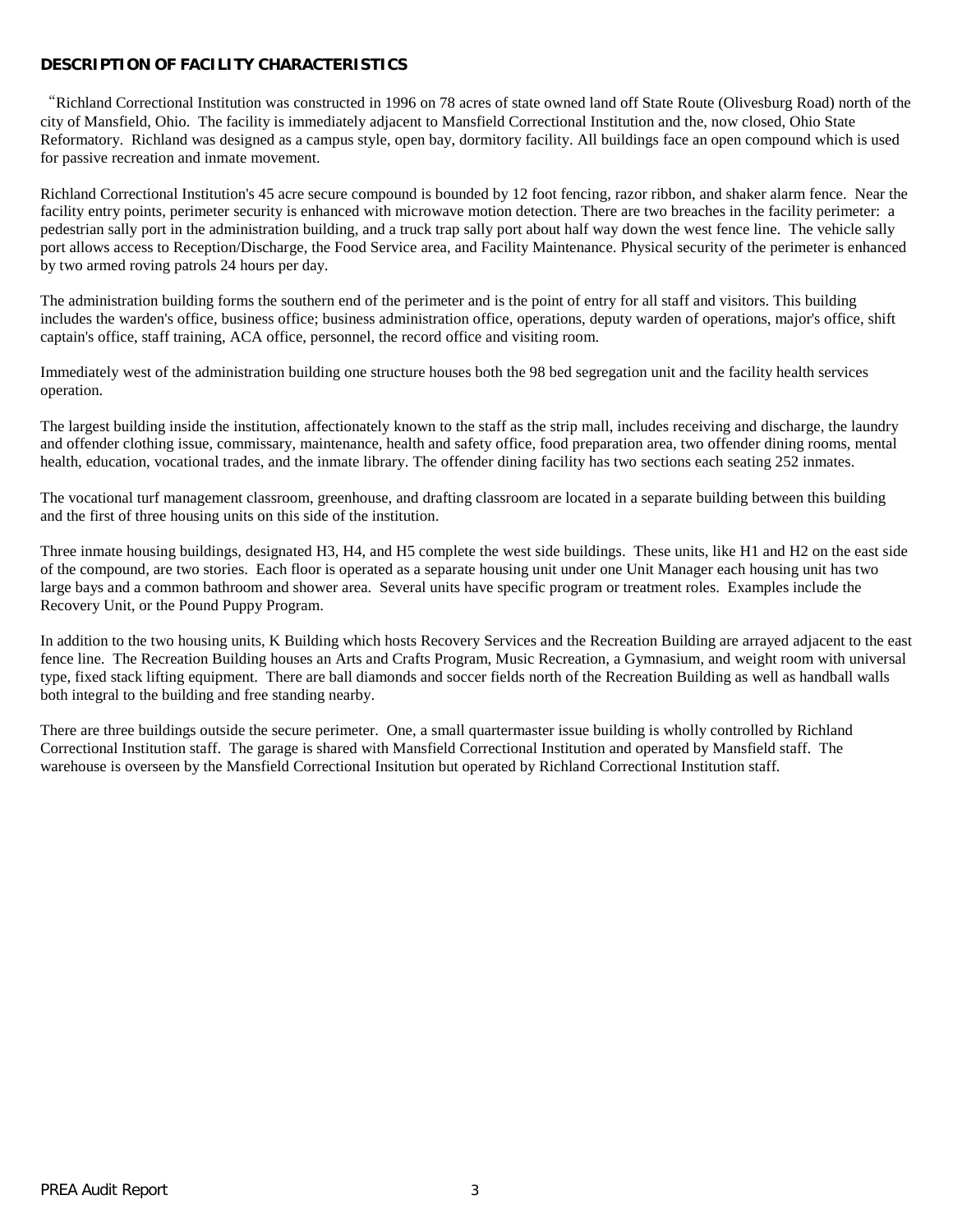# **DESCRIPTION OF FACILITY CHARACTERISTICS**

"Richland Correctional Institution was constructed in 1996 on 78 acres of state owned land off State Route (Olivesburg Road) north of the city of Mansfield, Ohio. The facility is immediately adjacent to Mansfield Correctional Institution and the, now closed, Ohio State Reformatory. Richland was designed as a campus style, open bay, dormitory facility. All buildings face an open compound which is used for passive recreation and inmate movement.

Richland Correctional Institution's 45 acre secure compound is bounded by 12 foot fencing, razor ribbon, and shaker alarm fence. Near the facility entry points, perimeter security is enhanced with microwave motion detection. There are two breaches in the facility perimeter: a pedestrian sally port in the administration building, and a truck trap sally port about half way down the west fence line. The vehicle sally port allows access to Reception/Discharge, the Food Service area, and Facility Maintenance. Physical security of the perimeter is enhanced by two armed roving patrols 24 hours per day.

The administration building forms the southern end of the perimeter and is the point of entry for all staff and visitors. This building includes the warden's office, business office; business administration office, operations, deputy warden of operations, major's office, shift captain's office, staff training, ACA office, personnel, the record office and visiting room.

Immediately west of the administration building one structure houses both the 98 bed segregation unit and the facility health services operation.

The largest building inside the institution, affectionately known to the staff as the strip mall, includes receiving and discharge, the laundry and offender clothing issue, commissary, maintenance, health and safety office, food preparation area, two offender dining rooms, mental health, education, vocational trades, and the inmate library. The offender dining facility has two sections each seating 252 inmates.

The vocational turf management classroom, greenhouse, and drafting classroom are located in a separate building between this building and the first of three housing units on this side of the institution.

Three inmate housing buildings, designated H3, H4, and H5 complete the west side buildings. These units, like H1 and H2 on the east side of the compound, are two stories. Each floor is operated as a separate housing unit under one Unit Manager each housing unit has two large bays and a common bathroom and shower area. Several units have specific program or treatment roles. Examples include the Recovery Unit, or the Pound Puppy Program.

In addition to the two housing units, K Building which hosts Recovery Services and the Recreation Building are arrayed adjacent to the east fence line. The Recreation Building houses an Arts and Crafts Program, Music Recreation, a Gymnasium, and weight room with universal type, fixed stack lifting equipment. There are ball diamonds and soccer fields north of the Recreation Building as well as handball walls both integral to the building and free standing nearby.

There are three buildings outside the secure perimeter. One, a small quartermaster issue building is wholly controlled by Richland Correctional Institution staff. The garage is shared with Mansfield Correctional Institution and operated by Mansfield staff. The warehouse is overseen by the Mansfield Correctional Insitution but operated by Richland Correctional Institution staff.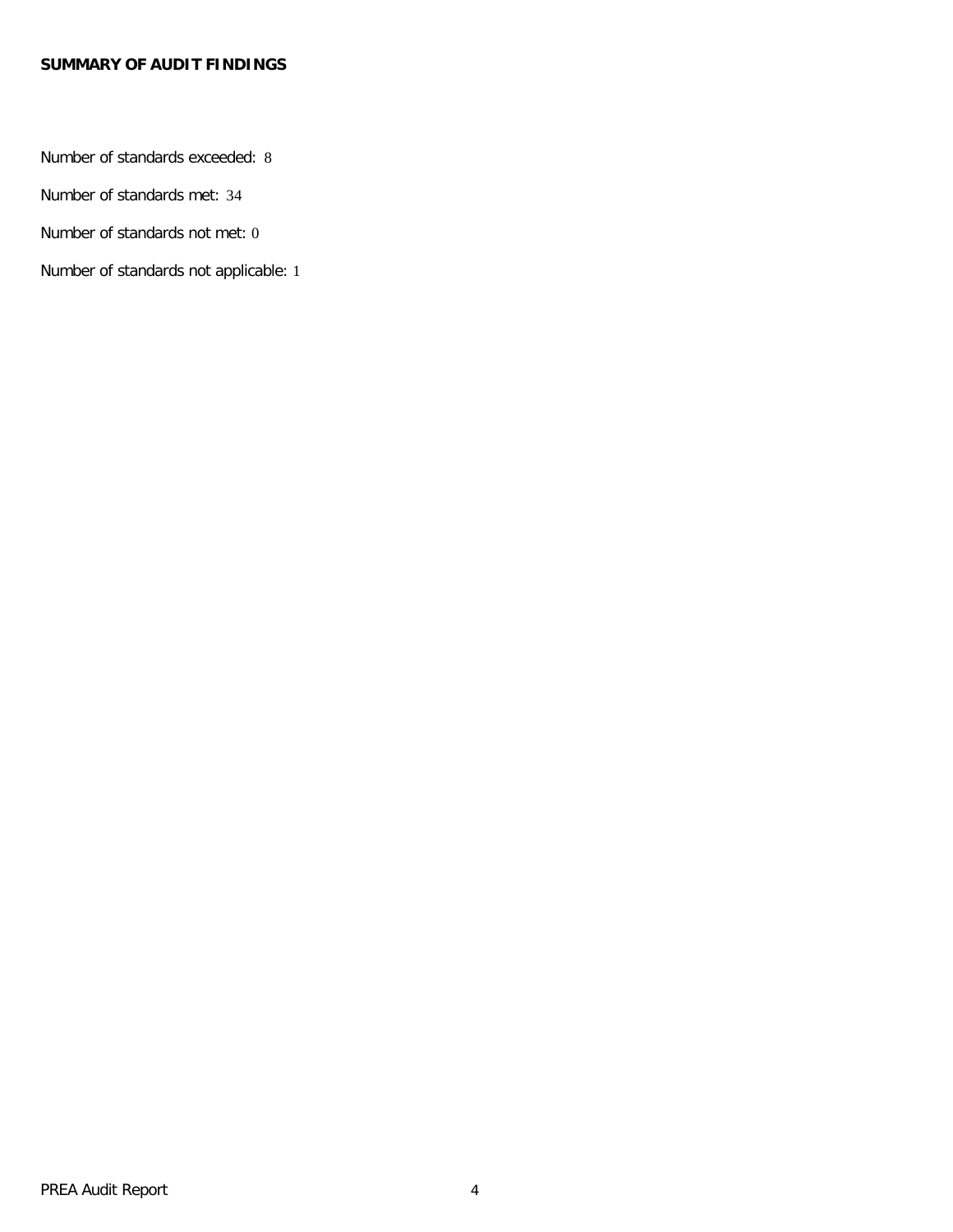# **SUMMARY OF AUDIT FINDINGS**

Number of standards exceeded: 8

Number of standards met: 34

Number of standards not met: 0

Number of standards not applicable: 1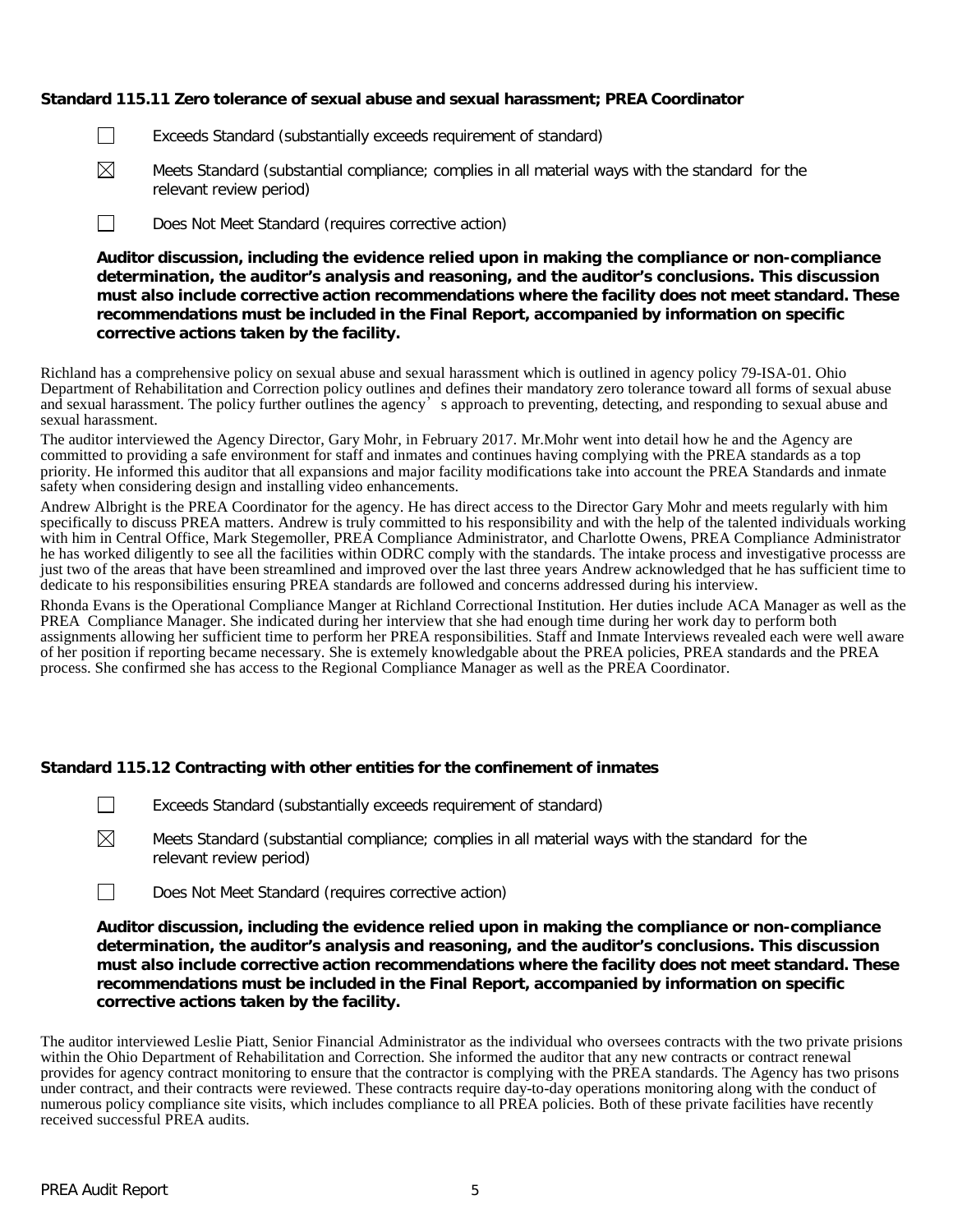# **Standard 115.11 Zero tolerance of sexual abuse and sexual harassment; PREA Coordinator**

- $\Box$ Exceeds Standard (substantially exceeds requirement of standard)
- $\boxtimes$ Meets Standard (substantial compliance; complies in all material ways with the standard for the relevant review period)
- $\Box$ Does Not Meet Standard (requires corrective action)

**Auditor discussion, including the evidence relied upon in making the compliance or non-compliance determination, the auditor's analysis and reasoning, and the auditor's conclusions. This discussion must also include corrective action recommendations where the facility does not meet standard. These recommendations must be included in the Final Report, accompanied by information on specific corrective actions taken by the facility.**

Richland has a comprehensive policy on sexual abuse and sexual harassment which is outlined in agency policy 79-ISA-01. Ohio Department of Rehabilitation and Correction policy outlines and defines their mandatory zero tolerance toward all forms of sexual abuse and sexual harassment. The policy further outlines the agency's approach to preventing, detecting, and responding to sexual abuse and sexual harassment.

The auditor interviewed the Agency Director, Gary Mohr, in February 2017. Mr.Mohr went into detail how he and the Agency are committed to providing a safe environment for staff and inmates and continues having complying with the PREA standards as a top priority. He informed this auditor that all expansions and major facility modifications take into account the PREA Standards and inmate safety when considering design and installing video enhancements.

Andrew Albright is the PREA Coordinator for the agency. He has direct access to the Director Gary Mohr and meets regularly with him specifically to discuss PREA matters. Andrew is truly committed to his responsibility and with the help of the talented individuals working with him in Central Office, Mark Stegemoller, PREA Compliance Administrator, and Charlotte Owens, PREA Compliance Administrator he has worked diligently to see all the facilities within ODRC comply with the standards. The intake process and investigative processs are just two of the areas that have been streamlined and improved over the last three years Andrew acknowledged that he has sufficient time to dedicate to his responsibilities ensuring PREA standards are followed and concerns addressed during his interview.

Rhonda Evans is the Operational Compliance Manger at Richland Correctional Institution. Her duties include ACA Manager as well as the PREA Compliance Manager. She indicated during her interview that she had enough time during her work day to perform both assignments allowing her sufficient time to perform her PREA responsibilities. Staff and Inmate Interviews revealed each were well aware of her position if reporting became necessary. She is extemely knowledgable about the PREA policies, PREA standards and the PREA process. She confirmed she has access to the Regional Compliance Manager as well as the PREA Coordinator.

### **Standard 115.12 Contracting with other entities for the confinement of inmates**

- $\Box$ Exceeds Standard (substantially exceeds requirement of standard)
- $\boxtimes$ Meets Standard (substantial compliance; complies in all material ways with the standard for the relevant review period)
- $\Box$ Does Not Meet Standard (requires corrective action)

**Auditor discussion, including the evidence relied upon in making the compliance or non-compliance determination, the auditor's analysis and reasoning, and the auditor's conclusions. This discussion must also include corrective action recommendations where the facility does not meet standard. These recommendations must be included in the Final Report, accompanied by information on specific corrective actions taken by the facility.**

The auditor interviewed Leslie Piatt, Senior Financial Administrator as the individual who oversees contracts with the two private prisions within the Ohio Department of Rehabilitation and Correction. She informed the auditor that any new contracts or contract renewal provides for agency contract monitoring to ensure that the contractor is complying with the PREA standards. The Agency has two prisons under contract, and their contracts were reviewed. These contracts require day-to-day operations monitoring along with the conduct of numerous policy compliance site visits, which includes compliance to all PREA policies. Both of these private facilities have recently received successful PREA audits.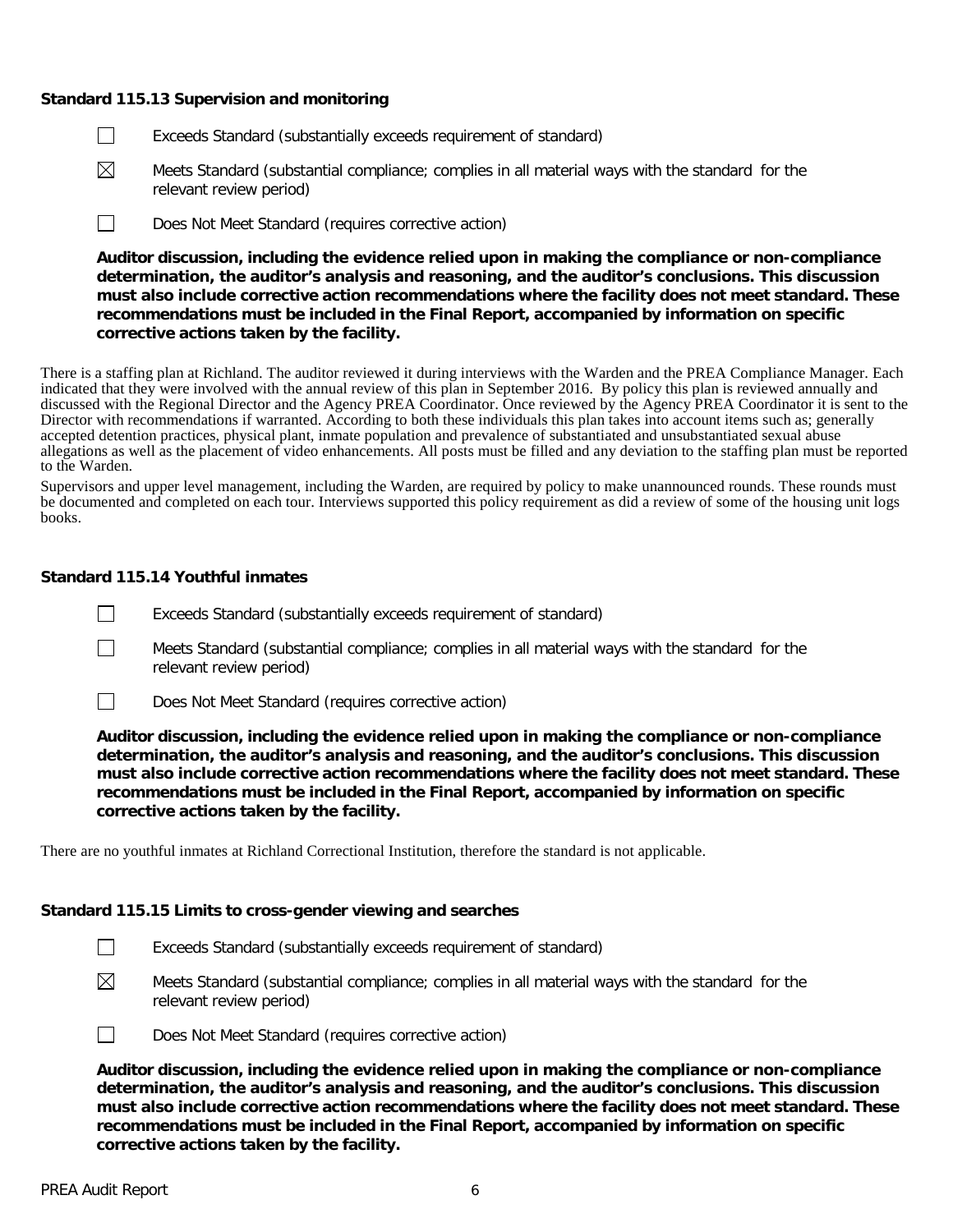### **Standard 115.13 Supervision and monitoring**

- $\Box$ Exceeds Standard (substantially exceeds requirement of standard)
- $\boxtimes$ Meets Standard (substantial compliance; complies in all material ways with the standard for the relevant review period)
- $\Box$ Does Not Meet Standard (requires corrective action)

**Auditor discussion, including the evidence relied upon in making the compliance or non-compliance determination, the auditor's analysis and reasoning, and the auditor's conclusions. This discussion must also include corrective action recommendations where the facility does not meet standard. These recommendations must be included in the Final Report, accompanied by information on specific corrective actions taken by the facility.**

There is a staffing plan at Richland. The auditor reviewed it during interviews with the Warden and the PREA Compliance Manager. Each indicated that they were involved with the annual review of this plan in September 2016. By policy this plan is reviewed annually and discussed with the Regional Director and the Agency PREA Coordinator. Once reviewed by the Agency PREA Coordinator it is sent to the Director with recommendations if warranted. According to both these individuals this plan takes into account items such as; generally accepted detention practices, physical plant, inmate population and prevalence of substantiated and unsubstantiated sexual abuse allegations as well as the placement of video enhancements. All posts must be filled and any deviation to the staffing plan must be reported to the Warden.

Supervisors and upper level management, including the Warden, are required by policy to make unannounced rounds. These rounds must be documented and completed on each tour. Interviews supported this policy requirement as did a review of some of the housing unit logs books.

# **Standard 115.14 Youthful inmates**

- $\Box$ Exceeds Standard (substantially exceeds requirement of standard)
- $\Box$ Meets Standard (substantial compliance; complies in all material ways with the standard for the relevant review period)
- $\Box$ Does Not Meet Standard (requires corrective action)

**Auditor discussion, including the evidence relied upon in making the compliance or non-compliance determination, the auditor's analysis and reasoning, and the auditor's conclusions. This discussion must also include corrective action recommendations where the facility does not meet standard. These recommendations must be included in the Final Report, accompanied by information on specific corrective actions taken by the facility.**

There are no youthful inmates at Richland Correctional Institution, therefore the standard is not applicable.

### **Standard 115.15 Limits to cross-gender viewing and searches**

- $\Box$ Exceeds Standard (substantially exceeds requirement of standard)
- $\bowtie$ Meets Standard (substantial compliance; complies in all material ways with the standard for the relevant review period)

 $\Box$ 

Does Not Meet Standard (requires corrective action)

**Auditor discussion, including the evidence relied upon in making the compliance or non-compliance determination, the auditor's analysis and reasoning, and the auditor's conclusions. This discussion must also include corrective action recommendations where the facility does not meet standard. These recommendations must be included in the Final Report, accompanied by information on specific corrective actions taken by the facility.**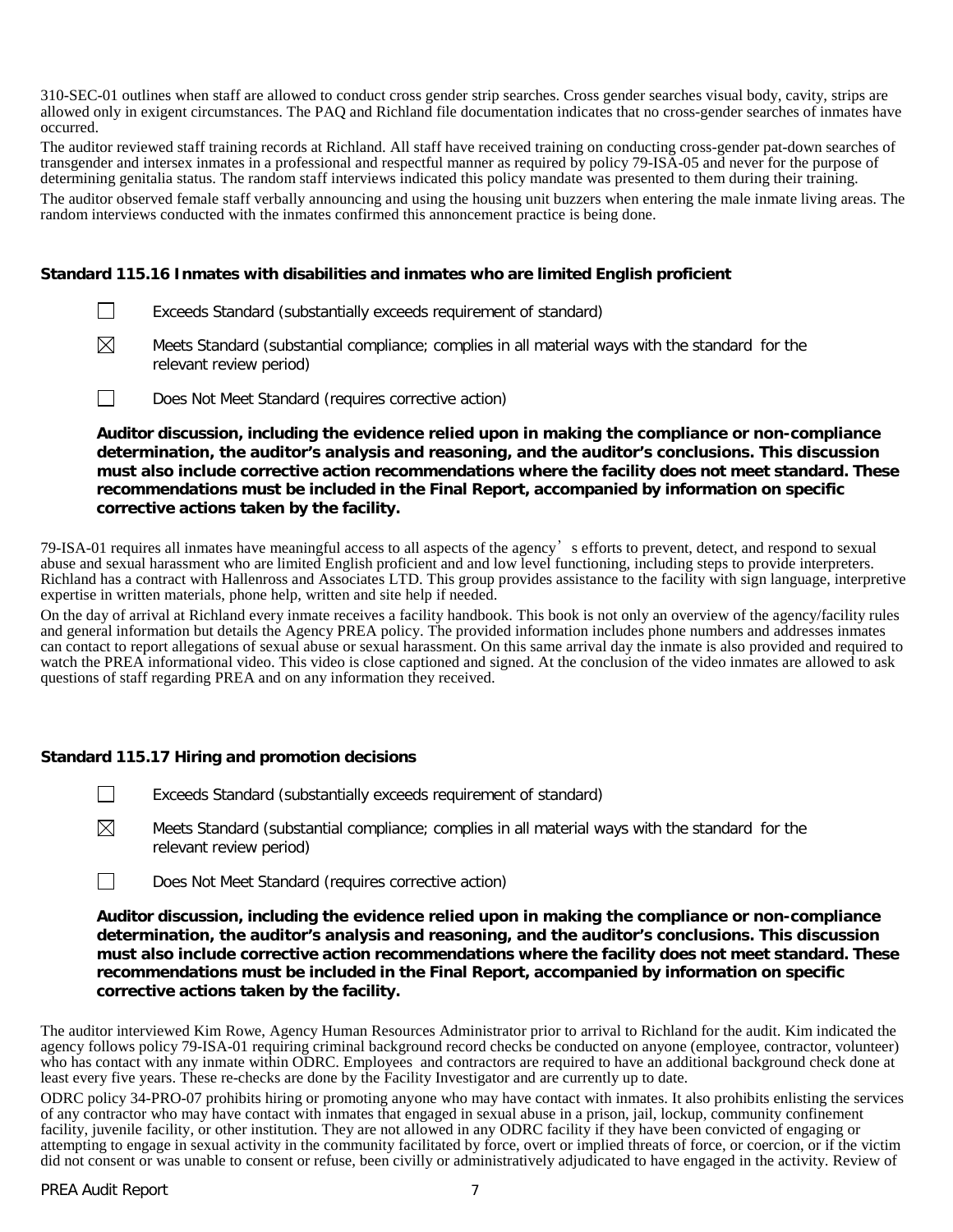310-SEC-01 outlines when staff are allowed to conduct cross gender strip searches. Cross gender searches visual body, cavity, strips are allowed only in exigent circumstances. The PAQ and Richland file documentation indicates that no cross-gender searches of inmates have occurred.

The auditor reviewed staff training records at Richland. All staff have received training on conducting cross-gender pat-down searches of transgender and intersex inmates in a professional and respectful manner as required by policy 79-ISA-05 and never for the purpose of determining genitalia status. The random staff interviews indicated this policy mandate was presented to them during their training.

The auditor observed female staff verbally announcing and using the housing unit buzzers when entering the male inmate living areas. The random interviews conducted with the inmates confirmed this annoncement practice is being done.

# **Standard 115.16 Inmates with disabilities and inmates who are limited English proficient**

- $\Box$ Exceeds Standard (substantially exceeds requirement of standard)
- ⊠ Meets Standard (substantial compliance; complies in all material ways with the standard for the relevant review period)
- $\Box$ Does Not Meet Standard (requires corrective action)

**Auditor discussion, including the evidence relied upon in making the compliance or non-compliance determination, the auditor's analysis and reasoning, and the auditor's conclusions. This discussion must also include corrective action recommendations where the facility does not meet standard. These recommendations must be included in the Final Report, accompanied by information on specific corrective actions taken by the facility.**

79-ISA-01 requires all inmates have meaningful access to all aspects of the agency's efforts to prevent, detect, and respond to sexual abuse and sexual harassment who are limited English proficient and and low level functioning, including steps to provide interpreters. Richland has a contract with Hallenross and Associates LTD. This group provides assistance to the facility with sign language, interpretive expertise in written materials, phone help, written and site help if needed.

On the day of arrival at Richland every inmate receives a facility handbook. This book is not only an overview of the agency/facility rules and general information but details the Agency PREA policy. The provided information includes phone numbers and addresses inmates can contact to report allegations of sexual abuse or sexual harassment. On this same arrival day the inmate is also provided and required to watch the PREA informational video. This video is close captioned and signed. At the conclusion of the video inmates are allowed to ask questions of staff regarding PREA and on any information they received.

### **Standard 115.17 Hiring and promotion decisions**

- $\Box$ Exceeds Standard (substantially exceeds requirement of standard)
- ⊠ Meets Standard (substantial compliance; complies in all material ways with the standard for the relevant review period)
- $\Box$ Does Not Meet Standard (requires corrective action)

**Auditor discussion, including the evidence relied upon in making the compliance or non-compliance determination, the auditor's analysis and reasoning, and the auditor's conclusions. This discussion must also include corrective action recommendations where the facility does not meet standard. These recommendations must be included in the Final Report, accompanied by information on specific corrective actions taken by the facility.**

The auditor interviewed Kim Rowe, Agency Human Resources Administrator prior to arrival to Richland for the audit. Kim indicated the agency follows policy 79-ISA-01 requiring criminal background record checks be conducted on anyone (employee, contractor, volunteer) who has contact with any inmate within ODRC. Employees and contractors are required to have an additional background check done at least every five years. These re-checks are done by the Facility Investigator and are currently up to date.

ODRC policy 34-PRO-07 prohibits hiring or promoting anyone who may have contact with inmates. It also prohibits enlisting the services of any contractor who may have contact with inmates that engaged in sexual abuse in a prison, jail, lockup, community confinement facility, juvenile facility, or other institution. They are not allowed in any ODRC facility if they have been convicted of engaging or attempting to engage in sexual activity in the community facilitated by force, overt or implied threats of force, or coercion, or if the victim did not consent or was unable to consent or refuse, been civilly or administratively adjudicated to have engaged in the activity. Review of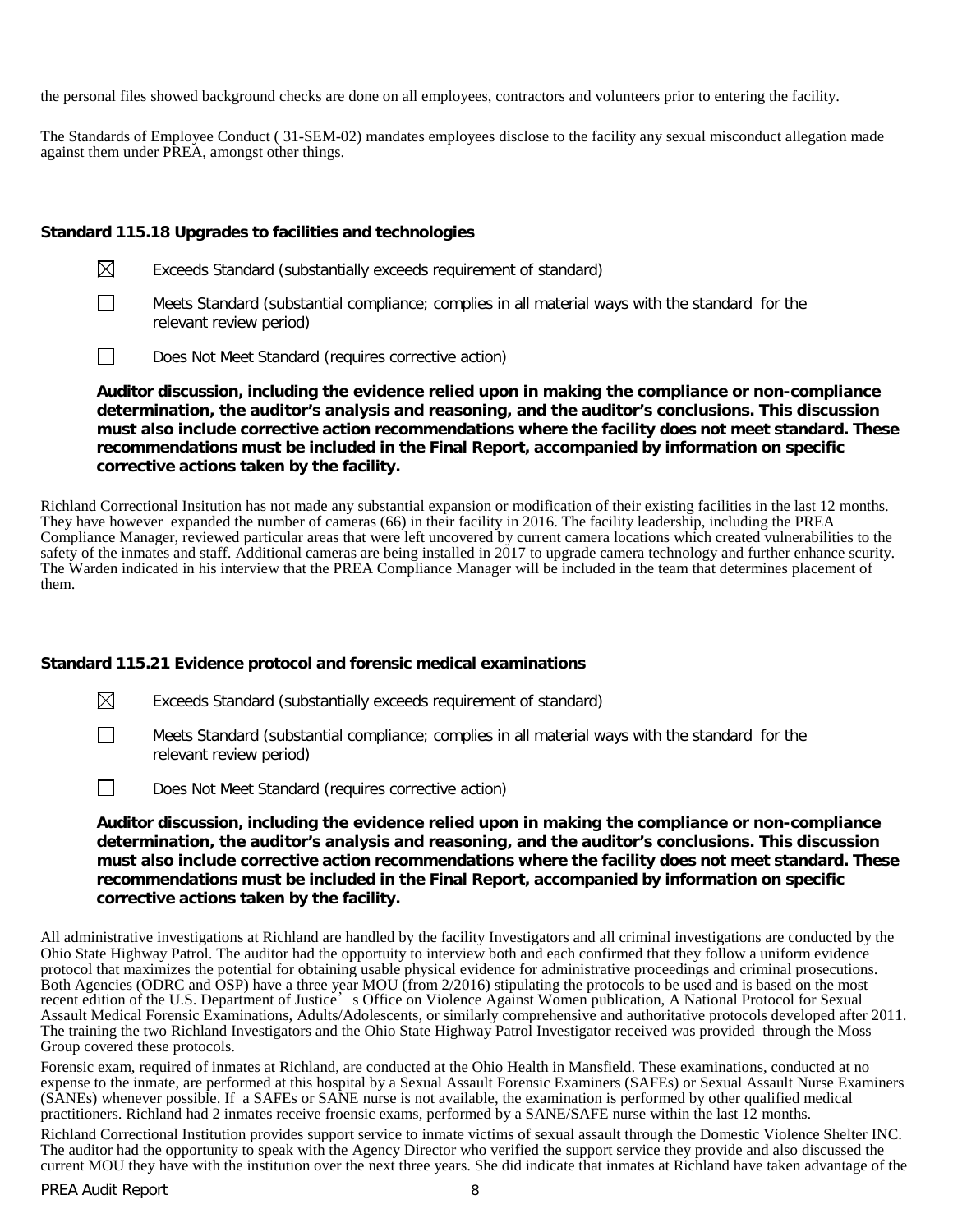the personal files showed background checks are done on all employees, contractors and volunteers prior to entering the facility.

The Standards of Employee Conduct ( 31-SEM-02) mandates employees disclose to the facility any sexual misconduct allegation made against them under PREA, amongst other things.

# **Standard 115.18 Upgrades to facilities and technologies**

- $\boxtimes$ Exceeds Standard (substantially exceeds requirement of standard)
- $\perp$ Meets Standard (substantial compliance; complies in all material ways with the standard for the relevant review period)
- $\Box$ Does Not Meet Standard (requires corrective action)

**Auditor discussion, including the evidence relied upon in making the compliance or non-compliance determination, the auditor's analysis and reasoning, and the auditor's conclusions. This discussion must also include corrective action recommendations where the facility does not meet standard. These recommendations must be included in the Final Report, accompanied by information on specific corrective actions taken by the facility.**

Richland Correctional Insitution has not made any substantial expansion or modification of their existing facilities in the last 12 months. They have however expanded the number of cameras (66) in their facility in 2016. The facility leadership, including the PREA Compliance Manager, reviewed particular areas that were left uncovered by current camera locations which created vulnerabilities to the safety of the inmates and staff. Additional cameras are being installed in 2017 to upgrade camera technology and further enhance scurity. The Warden indicated in his interview that the PREA Compliance Manager will be included in the team that determines placement of them.

### **Standard 115.21 Evidence protocol and forensic medical examinations**

 $\boxtimes$ Exceeds Standard (substantially exceeds requirement of standard)

Meets Standard (substantial compliance; complies in all material ways with the standard for the relevant review period)

 $\Box$ Does Not Meet Standard (requires corrective action)

**Auditor discussion, including the evidence relied upon in making the compliance or non-compliance determination, the auditor's analysis and reasoning, and the auditor's conclusions. This discussion must also include corrective action recommendations where the facility does not meet standard. These recommendations must be included in the Final Report, accompanied by information on specific corrective actions taken by the facility.**

All administrative investigations at Richland are handled by the facility Investigators and all criminal investigations are conducted by the Ohio State Highway Patrol. The auditor had the opportuity to interview both and each confirmed that they follow a uniform evidence protocol that maximizes the potential for obtaining usable physical evidence for administrative proceedings and criminal prosecutions. Both Agencies (ODRC and OSP) have a three year MOU (from 2/2016) stipulating the protocols to be used and is based on the most recent edition of the U.S. Department of Justice's Office on Violence Against Women publication, A National Protocol for Sexual Assault Medical Forensic Examinations, Adults/Adolescents, or similarly comprehensive and authoritative protocols developed after 2011. The training the two Richland Investigators and the Ohio State Highway Patrol Investigator received was provided through the Moss Group covered these protocols.

Forensic exam, required of inmates at Richland, are conducted at the Ohio Health in Mansfield. These examinations, conducted at no expense to the inmate, are performed at this hospital by a Sexual Assault Forensic Examiners (SAFEs) or Sexual Assault Nurse Examiners (SANEs) whenever possible. If a SAFEs or SANE nurse is not available, the examination is performed by other qualified medical practitioners. Richland had 2 inmates receive froensic exams, performed by a SANE/SAFE nurse within the last 12 months.

Richland Correctional Institution provides support service to inmate victims of sexual assault through the Domestic Violence Shelter INC. The auditor had the opportunity to speak with the Agency Director who verified the support service they provide and also discussed the current MOU they have with the institution over the next three years. She did indicate that inmates at Richland have taken advantage of the

 $\mathbf{I}$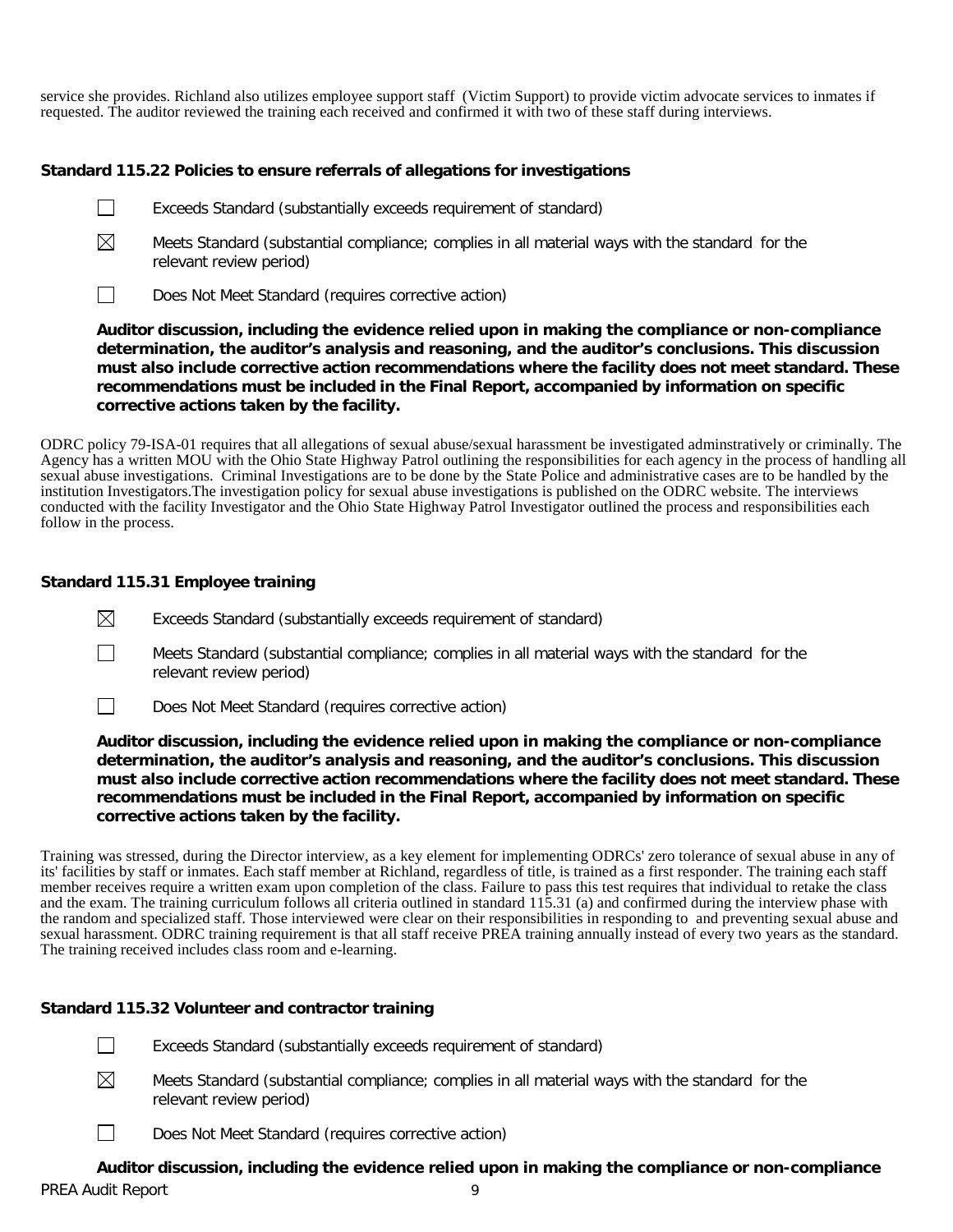service she provides. Richland also utilizes employee support staff (Victim Support) to provide victim advocate services to inmates if requested. The auditor reviewed the training each received and confirmed it with two of these staff during interviews.

# **Standard 115.22 Policies to ensure referrals of allegations for investigations**

- $\perp$ Exceeds Standard (substantially exceeds requirement of standard)
- $\boxtimes$ Meets Standard (substantial compliance; complies in all material ways with the standard for the relevant review period)
- $\overline{\phantom{a}}$ Does Not Meet Standard (requires corrective action)

**Auditor discussion, including the evidence relied upon in making the compliance or non-compliance determination, the auditor's analysis and reasoning, and the auditor's conclusions. This discussion must also include corrective action recommendations where the facility does not meet standard. These recommendations must be included in the Final Report, accompanied by information on specific corrective actions taken by the facility.**

ODRC policy 79-ISA-01 requires that all allegations of sexual abuse/sexual harassment be investigated adminstratively or criminally. The Agency has a written MOU with the Ohio State Highway Patrol outlining the responsibilities for each agency in the process of handling all sexual abuse investigations. Criminal Investigations are to be done by the State Police and administrative cases are to be handled by the institution Investigators.The investigation policy for sexual abuse investigations is published on the ODRC website. The interviews conducted with the facility Investigator and the Ohio State Highway Patrol Investigator outlined the process and responsibilities each follow in the process.

# **Standard 115.31 Employee training**

- $\boxtimes$ Exceeds Standard (substantially exceeds requirement of standard)
- $\Box$ Meets Standard (substantial compliance; complies in all material ways with the standard for the relevant review period)
- $\Box$ Does Not Meet Standard (requires corrective action)

**Auditor discussion, including the evidence relied upon in making the compliance or non-compliance determination, the auditor's analysis and reasoning, and the auditor's conclusions. This discussion must also include corrective action recommendations where the facility does not meet standard. These recommendations must be included in the Final Report, accompanied by information on specific corrective actions taken by the facility.**

Training was stressed, during the Director interview, as a key element for implementing ODRCs' zero tolerance of sexual abuse in any of its' facilities by staff or inmates. Each staff member at Richland, regardless of title, is trained as a first responder. The training each staff member receives require a written exam upon completion of the class. Failure to pass this test requires that individual to retake the class and the exam. The training curriculum follows all criteria outlined in standard 115.31 (a) and confirmed during the interview phase with the random and specialized staff. Those interviewed were clear on their responsibilities in responding to and preventing sexual abuse and sexual harassment. ODRC training requirement is that all staff receive PREA training annually instead of every two years as the standard. The training received includes class room and e-learning.

### **Standard 115.32 Volunteer and contractor training**

- $\perp$ Exceeds Standard (substantially exceeds requirement of standard)
- $\boxtimes$ Meets Standard (substantial compliance; complies in all material ways with the standard for the relevant review period)
- $\perp$ Does Not Meet Standard (requires corrective action)

PREA Audit Report 9 **Auditor discussion, including the evidence relied upon in making the compliance or non-compliance**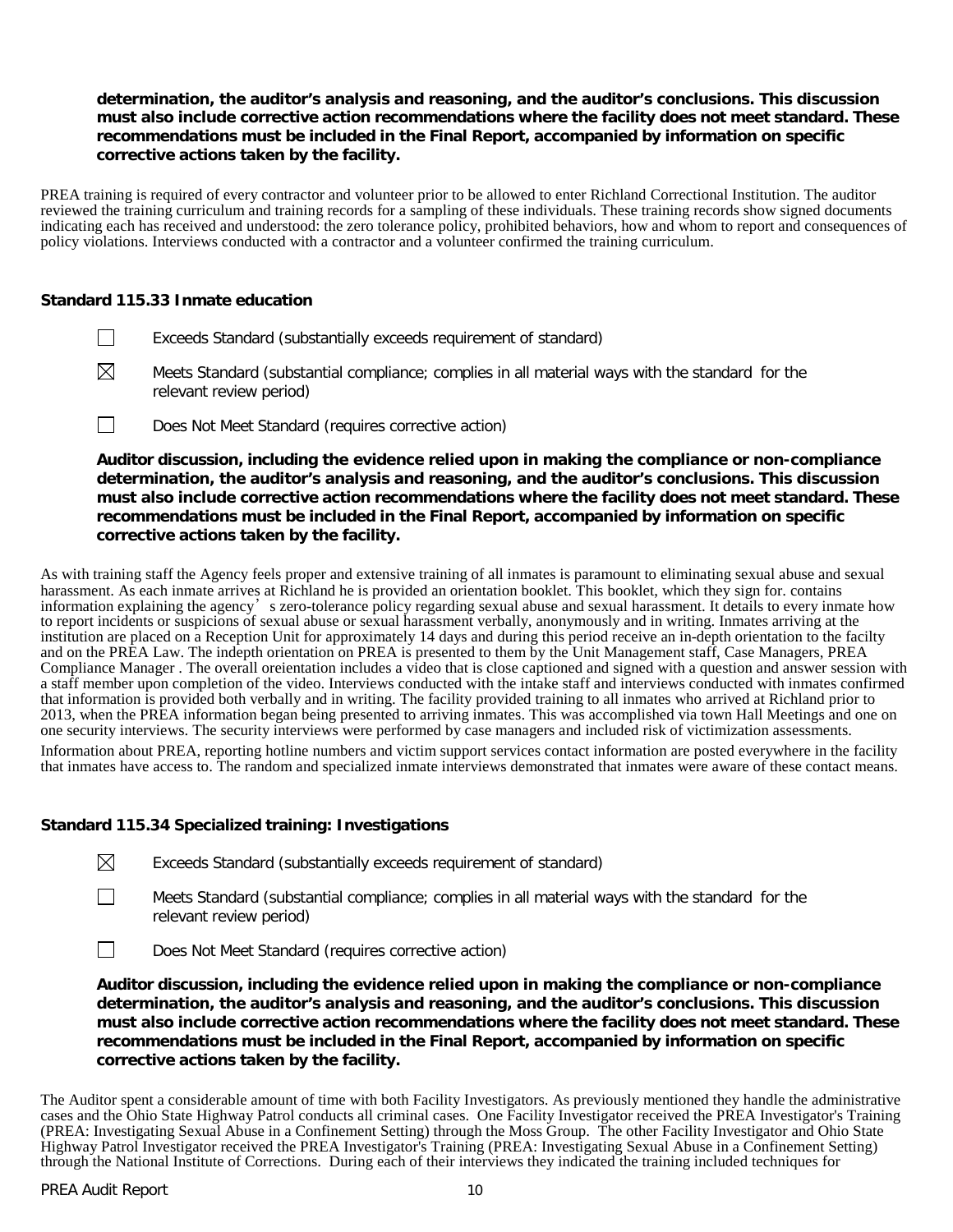# **determination, the auditor's analysis and reasoning, and the auditor's conclusions. This discussion must also include corrective action recommendations where the facility does not meet standard. These recommendations must be included in the Final Report, accompanied by information on specific corrective actions taken by the facility.**

PREA training is required of every contractor and volunteer prior to be allowed to enter Richland Correctional Institution. The auditor reviewed the training curriculum and training records for a sampling of these individuals. These training records show signed documents indicating each has received and understood: the zero tolerance policy, prohibited behaviors, how and whom to report and consequences of policy violations. Interviews conducted with a contractor and a volunteer confirmed the training curriculum.

# **Standard 115.33 Inmate education**

- $\Box$ Exceeds Standard (substantially exceeds requirement of standard)
- $\boxtimes$ Meets Standard (substantial compliance; complies in all material ways with the standard for the relevant review period)
- $\Box$ Does Not Meet Standard (requires corrective action)

**Auditor discussion, including the evidence relied upon in making the compliance or non-compliance determination, the auditor's analysis and reasoning, and the auditor's conclusions. This discussion must also include corrective action recommendations where the facility does not meet standard. These recommendations must be included in the Final Report, accompanied by information on specific corrective actions taken by the facility.**

As with training staff the Agency feels proper and extensive training of all inmates is paramount to eliminating sexual abuse and sexual harassment. As each inmate arrives at Richland he is provided an orientation booklet. This booklet, which they sign for. contains information explaining the agency's zero-tolerance policy regarding sexual abuse and sexual harassment. It details to every inmate how to report incidents or suspicions of sexual abuse or sexual harassment verbally, anonymously and in writing. Inmates arriving at the institution are placed on a Reception Unit for approximately 14 days and during this period receive an in-depth orientation to the facilty and on the PREA Law. The indepth orientation on PREA is presented to them by the Unit Management staff, Case Managers, PREA Compliance Manager . The overall oreientation includes a video that is close captioned and signed with a question and answer session with a staff member upon completion of the video. Interviews conducted with the intake staff and interviews conducted with inmates confirmed that information is provided both verbally and in writing. The facility provided training to all inmates who arrived at Richland prior to 2013, when the PREA information began being presented to arriving inmates. This was accomplished via town Hall Meetings and one on one security interviews. The security interviews were performed by case managers and included risk of victimization assessments.

Information about PREA, reporting hotline numbers and victim support services contact information are posted everywhere in the facility that inmates have access to. The random and specialized inmate interviews demonstrated that inmates were aware of these contact means.

### **Standard 115.34 Specialized training: Investigations**

 $\boxtimes$ Exceeds Standard (substantially exceeds requirement of standard)

- Meets Standard (substantial compliance; complies in all material ways with the standard for the relevant review period)
- $\Box$ Does Not Meet Standard (requires corrective action)

**Auditor discussion, including the evidence relied upon in making the compliance or non-compliance determination, the auditor's analysis and reasoning, and the auditor's conclusions. This discussion must also include corrective action recommendations where the facility does not meet standard. These recommendations must be included in the Final Report, accompanied by information on specific corrective actions taken by the facility.**

The Auditor spent a considerable amount of time with both Facility Investigators. As previously mentioned they handle the administrative cases and the Ohio State Highway Patrol conducts all criminal cases. One Facility Investigator received the PREA Investigator's Training (PREA: Investigating Sexual Abuse in a Confinement Setting) through the Moss Group. The other Facility Investigator and Ohio State Highway Patrol Investigator received the PREA Investigator's Training (PREA: Investigating Sexual Abuse in a Confinement Setting) through the National Institute of Corrections. During each of their interviews they indicated the training included techniques for

 $\Box$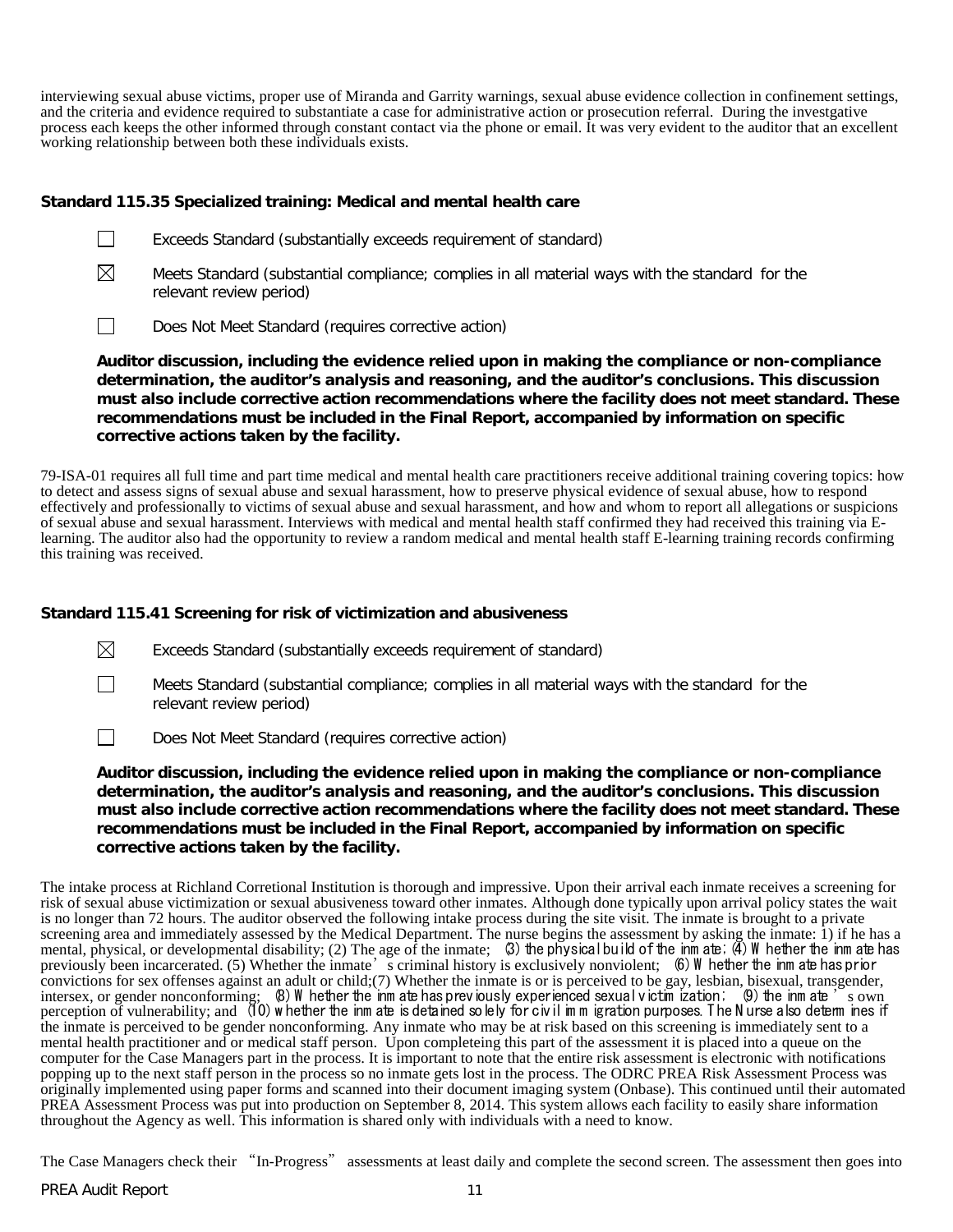interviewing sexual abuse victims, proper use of Miranda and Garrity warnings, sexual abuse evidence collection in confinement settings, and the criteria and evidence required to substantiate a case for administrative action or prosecution referral. During the investgative process each keeps the other informed through constant contact via the phone or email. It was very evident to the auditor that an excellent working relationship between both these individuals exists.

# **Standard 115.35 Specialized training: Medical and mental health care**

- $\Box$ Exceeds Standard (substantially exceeds requirement of standard)
- $\boxtimes$ Meets Standard (substantial compliance; complies in all material ways with the standard for the relevant review period)

 $\Box$ Does Not Meet Standard (requires corrective action)

**Auditor discussion, including the evidence relied upon in making the compliance or non-compliance determination, the auditor's analysis and reasoning, and the auditor's conclusions. This discussion must also include corrective action recommendations where the facility does not meet standard. These recommendations must be included in the Final Report, accompanied by information on specific corrective actions taken by the facility.**

79-ISA-01 requires all full time and part time medical and mental health care practitioners receive additional training covering topics: how to detect and assess signs of sexual abuse and sexual harassment, how to preserve physical evidence of sexual abuse, how to respond effectively and professionally to victims of sexual abuse and sexual harassment, and how and whom to report all allegations or suspicions of sexual abuse and sexual harassment. Interviews with medical and mental health sta learning. The auditor also had the opportunity to review a random medical and mental health staff E-learning training records confirming this training was received.

# **Standard 115.41 Screening for risk of victimization and abusiveness**

 $\boxtimes$ Exceeds Standard (substantially exceeds requirement of standard)

Meets Standard (substantial compliance; complies in all material ways with the standard for the relevant review period)

 $\Box$ Does Not Meet Standard (requires corrective action)

**Auditor discussion, including the evidence relied upon in making the compliance or non-compliance determination, the auditor's analysis and reasoning, and the auditor's conclusions. This discussion must also include corrective action recommendations where the facility does not meet standard. These recommendations must be included in the Final Report, accompanied by information on specific corrective actions taken by the facility.**

The intake process at Richland Corretional Institution is thorough and impressive. Upon their arrival each inmate receives a screening for risk of sexual abuse victimization or sexual abusiveness toward other inmates. Although done typically upon arrival policy states the wait is no longer than 72 hours. The auditor observed the following intake process during the site visit. The inmate is brought to a private screening area and immediately assessed by the Medical Department. The nurse begins the assessment by asking the inmate: 1) if he has a mental, physical, or developmental disability; (2) The age of the inmate; (3) the physical build of the inm ate; (4) W hether the inm ate has previously been incarcerated. (5) Whether the inmate's criminal history is exclusively nonviolent; (6) W hether the inm ate has prior convictions for sex offenses against an adult or child;(7) Whether the inmate is or is perceived to be gay, lesbian, bisexual, transgender, intersex, or gender nonconforming;  $\,$  (8) W hether the inm ate has previously experienced sexual victim ization;  $\,$  (9) the inm ate  $\,$  s own perception of vulnerability; and (10) w hether the inm ate is detained solely for civil im m igration purposes. T he N urse also determ ines if the inmate is perceived to be gender nonconforming. Any inmate who may be at risk based on this screening is immediately sent to a mental health practitioner and or medical staff person. Upon completeing this part of the assessment it is placed into a queue on the computer for the Case Managers part in the process. It is important to note that the entire risk assessment is electronic with notifications popping up to the next staff person in the process so no inmate gets lost in the process. The ODRC PREA Risk Assessment Process was originally implemented using paper forms and scanned into their document imaging system (Onbase). This continued until their automated PREA Assessment Process was put into production on September 8, 2014. This system allows each facility to easily share information throughout the Agency as well. This information is shared only with individuals with a need to know.

The Case Managers check their "In-Progress" assessments at least daily and complete the second screen. The assessment then goes into

 $\Box$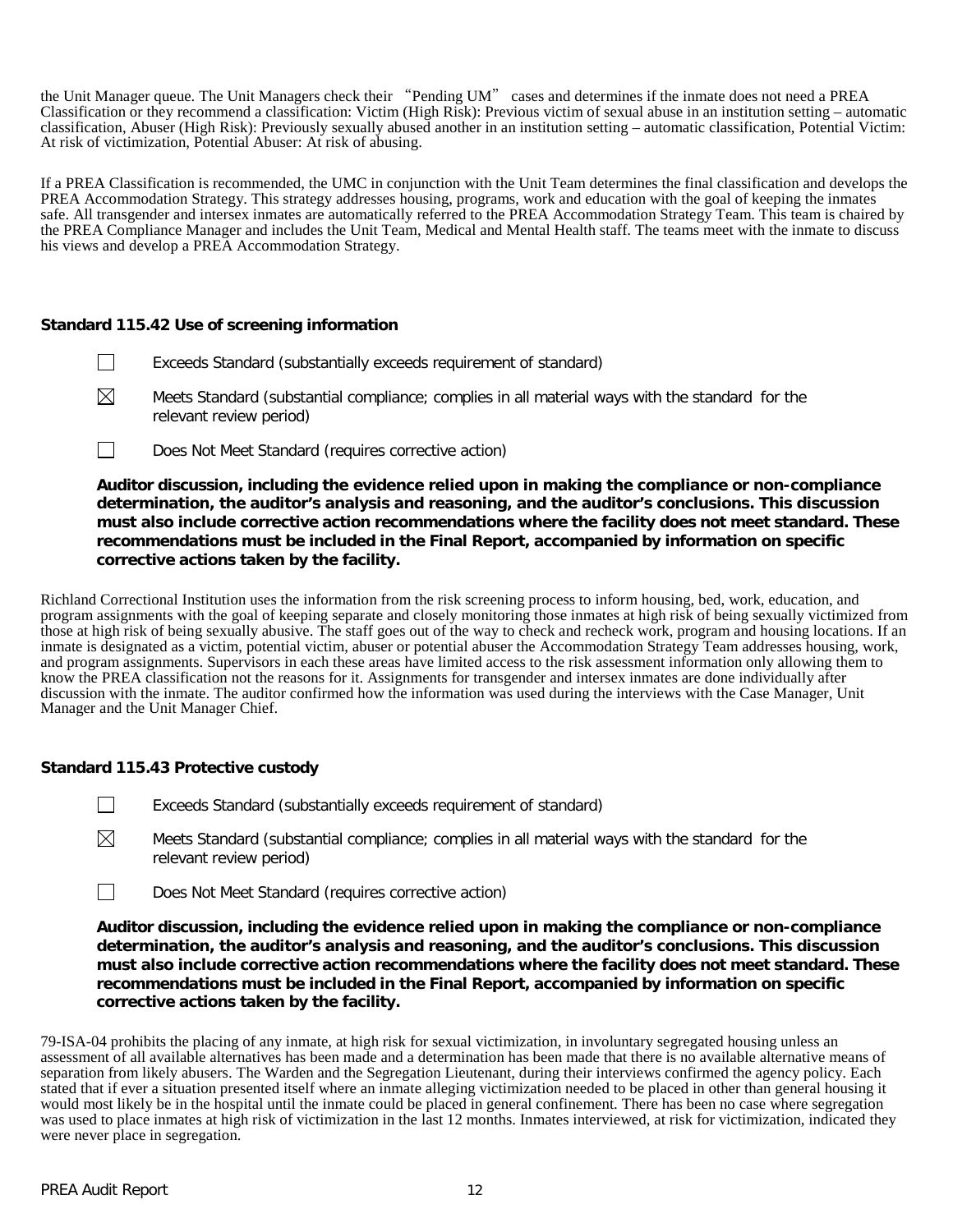the Unit Manager queue. The Unit Managers check their "Pending UM" cases and determines if the inmate does not need a PREA Classification or they recommend a classification: Victim (High Risk): Previous victim of sexual abuse in an institution setting – automatic classification, Abuser (High Risk): Previously sexually abused another in an institution setting – automatic classification, Potential Victim: At risk of victimization, Potential Abuser: At risk of abusing.

If a PREA Classification is recommended, the UMC in conjunction with the Unit Team determines the final classification and develops the PREA Accommodation Strategy. This strategy addresses housing, programs, work and education with the goal of keeping the inmates safe. All transgender and intersex inmates are automatically referred to the PREA Accommodation Strategy Team. This team is chaired by the PREA Compliance Manager and includes the Unit Team, Medical and Mental Health staff. The teams meet with the inmate to discuss his views and develop a PREA Accommodation Strategy.

# **Standard 115.42 Use of screening information**

- $\Box$ Exceeds Standard (substantially exceeds requirement of standard)
- $\boxtimes$ Meets Standard (substantial compliance; complies in all material ways with the standard for the relevant review period)
- $\Box$ Does Not Meet Standard (requires corrective action)

**Auditor discussion, including the evidence relied upon in making the compliance or non-compliance determination, the auditor's analysis and reasoning, and the auditor's conclusions. This discussion must also include corrective action recommendations where the facility does not meet standard. These recommendations must be included in the Final Report, accompanied by information on specific corrective actions taken by the facility.**

Richland Correctional Institution uses the information from the risk screening process to inform housing, bed, work, education, and program assignments with the goal of keeping separate and closely monitoring those inmates at high risk of being sexually victimized from those at high risk of being sexually abusive. The staff goes out of the way to check and recheck work, program and housing locations. If an inmate is designated as a victim, potential victim, abuser or potential abuser the Accommodation Strategy Team addresses housing, work, and program assignments. Supervisors in each these areas have limited access to the risk assessment information only allowing them to know the PREA classification not the reasons for it. Assignments for transgender and intersex inmates are done individually after discussion with the inmate. The auditor confirmed how the information was used during the interviews with the Case Manager, Unit Manager and the Unit Manager Chief.

### **Standard 115.43 Protective custody**

- $\Box$ Exceeds Standard (substantially exceeds requirement of standard)
- $\boxtimes$ Meets Standard (substantial compliance; complies in all material ways with the standard for the relevant review period)
- $\Box$ Does Not Meet Standard (requires corrective action)

**Auditor discussion, including the evidence relied upon in making the compliance or non-compliance determination, the auditor's analysis and reasoning, and the auditor's conclusions. This discussion must also include corrective action recommendations where the facility does not meet standard. These recommendations must be included in the Final Report, accompanied by information on specific corrective actions taken by the facility.**

79-ISA-04 prohibits the placing of any inmate, at high risk for sexual victimization, in involuntary segregated housing unless an assessment of all available alternatives has been made and a determination has been made that there is no available alternative means of separation from likely abusers. The Warden and the Segregation Lieutenant, during their interviews confirmed the agency policy. Each stated that if ever a situation presented itself where an inmate alleging victimization needed to be placed in other than general housing it would most likely be in the hospital until the inmate could be placed in general confinement. There has been no case where segregation was used to place inmates at high risk of victimization in the last 12 months. Inmates interviewed, at risk for victimization, indicated they were never place in segregation.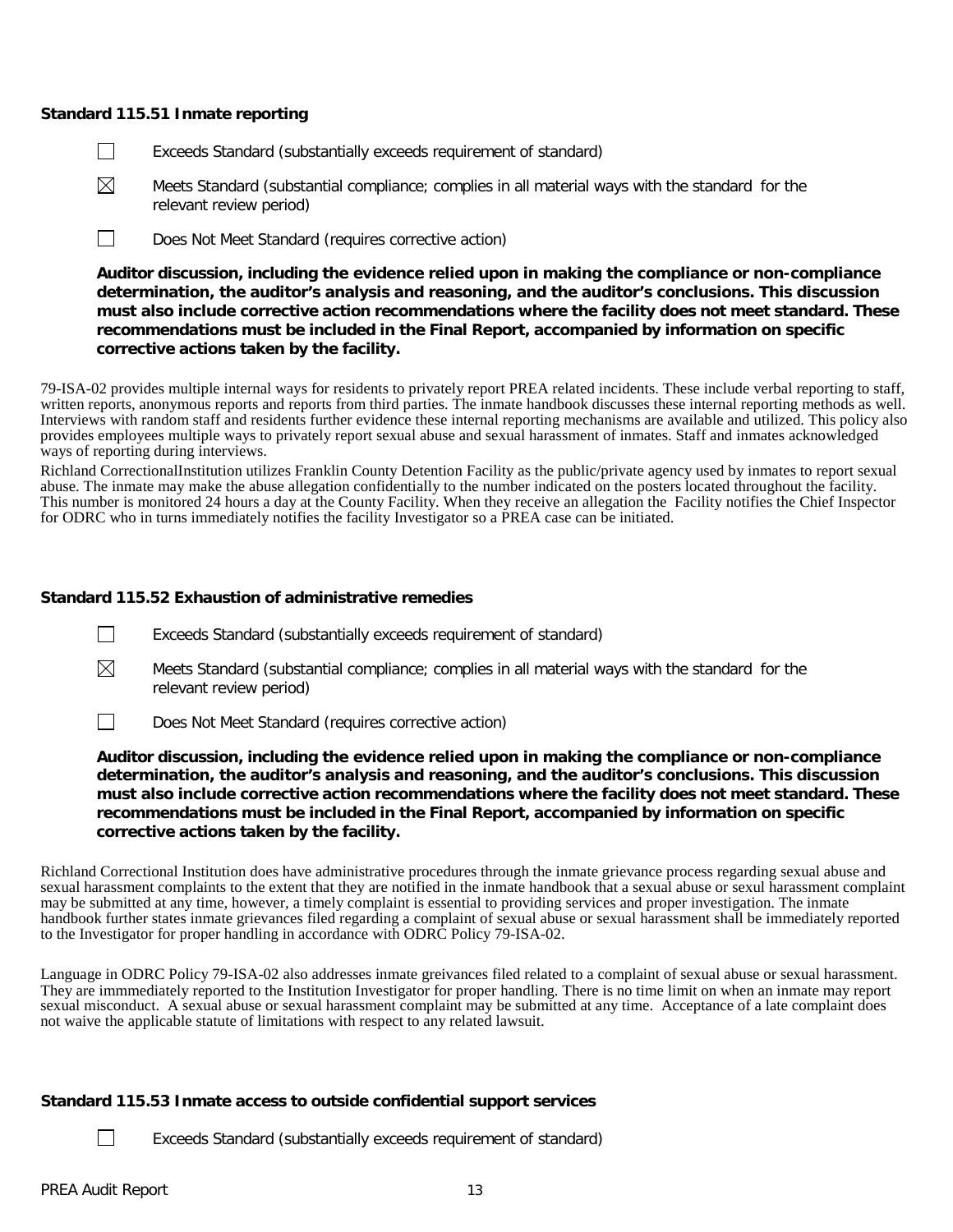#### **Standard 115.51 Inmate reporting**

- П Exceeds Standard (substantially exceeds requirement of standard)
- ⊠ Meets Standard (substantial compliance; complies in all material ways with the standard for the relevant review period)
- $\Box$ Does Not Meet Standard (requires corrective action)

**Auditor discussion, including the evidence relied upon in making the compliance or non-compliance determination, the auditor's analysis and reasoning, and the auditor's conclusions. This discussion must also include corrective action recommendations where the facility does not meet standard. These recommendations must be included in the Final Report, accompanied by information on specific corrective actions taken by the facility.**

79-ISA-02 provides multiple internal ways for residents to privately report PREA related incidents. These include verbal reporting to staff, written reports, anonymous reports and reports from third parties. The inmate handbook discusses these internal reporting methods as well. Interviews with random staff and residents further evidence these internal reporting mechanisms are available and utilized. This policy also provides employees multiple ways to privately report sexual abuse and sexual harassment of inmates. Staff and inmates acknowledged ways of reporting during interviews.

Richland CorrectionalInstitution utilizes Franklin County Detention Facility as the public/private agency used by inmates to report sexual abuse. The inmate may make the abuse allegation confidentially to the number indicated on the posters located throughout the facility. This number is monitored 24 hours a day at the County Facility. When they receive an allegation the Facility notifies the Chief Inspector for ODRC who in turns immediately notifies the facility Investigator so a PREA case can be initiated.

### **Standard 115.52 Exhaustion of administrative remedies**

- $\Box$ Exceeds Standard (substantially exceeds requirement of standard)
- $\boxtimes$ Meets Standard (substantial compliance; complies in all material ways with the standard for the relevant review period)
- $\Box$ Does Not Meet Standard (requires corrective action)

**Auditor discussion, including the evidence relied upon in making the compliance or non-compliance determination, the auditor's analysis and reasoning, and the auditor's conclusions. This discussion must also include corrective action recommendations where the facility does not meet standard. These recommendations must be included in the Final Report, accompanied by information on specific corrective actions taken by the facility.**

Richland Correctional Institution does have administrative procedures through the inmate grievance process regarding sexual abuse and sexual harassment complaints to the extent that they are notified in the inmate handbook that a sexual abuse or sexul harassment complaint may be submitted at any time, however, a timely complaint is essential to providing services and proper investigation. The inmate handbook further states inmate grievances filed regarding a complaint of sexual abuse or sexual harassment shall be immediately reported to the Investigator for proper handling in accordance with ODRC Policy 79-ISA-02.

Language in ODRC Policy 79-ISA-02 also addresses inmate greivances filed related to a complaint of sexual abuse or sexual harassment. They are immmediately reported to the Institution Investigator for proper handling. There is no time limit on when an inmate may report sexual misconduct. A sexual abuse or sexual harassment complaint may be submitted at any time. Acceptance of a late complaint does not waive the applicable statute of limitations with respect to any related lawsuit.

### **Standard 115.53 Inmate access to outside confidential support services**

 $\Box$ 

Exceeds Standard (substantially exceeds requirement of standard)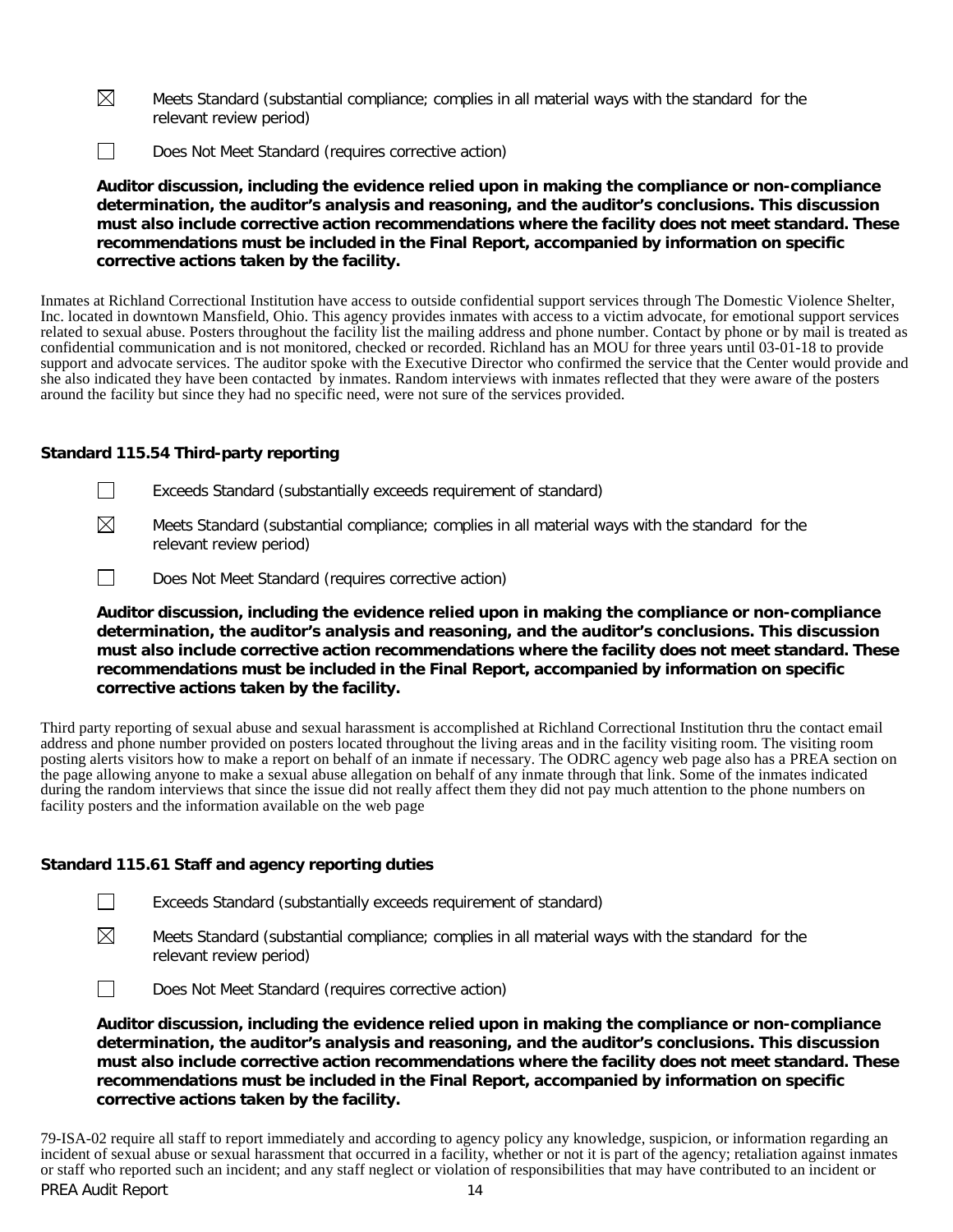- $\boxtimes$ Meets Standard (substantial compliance; complies in all material ways with the standard for the relevant review period)
- $\Box$ Does Not Meet Standard (requires corrective action)

**Auditor discussion, including the evidence relied upon in making the compliance or non-compliance determination, the auditor's analysis and reasoning, and the auditor's conclusions. This discussion must also include corrective action recommendations where the facility does not meet standard. These recommendations must be included in the Final Report, accompanied by information on specific corrective actions taken by the facility.**

Inmates at Richland Correctional Institution have access to outside confidential support services through The Domestic Violence Shelter, Inc. located in downtown Mansfield, Ohio. This agency provides inmates with access to a victim advocate, for emotional support services related to sexual abuse. Posters throughout the facility list the mailing address and phone number. Contact by phone or by mail is treated as confidential communication and is not monitored, checked or recorded. Richland has an MOU for three years until 03-01-18 to provide support and advocate services. The auditor spoke with the Executive Director who confirmed the service that the Center would provide and she also indicated they have been contacted by inmates. Random interviews with inmates reflected that they were aware of the posters around the facility but since they had no specific need, were not sure of the services provided.

# **Standard 115.54 Third-party reporting**

- $\Box$ Exceeds Standard (substantially exceeds requirement of standard)
- ⊠ Meets Standard (substantial compliance; complies in all material ways with the standard for the relevant review period)
- $\Box$ Does Not Meet Standard (requires corrective action)

**Auditor discussion, including the evidence relied upon in making the compliance or non-compliance determination, the auditor's analysis and reasoning, and the auditor's conclusions. This discussion must also include corrective action recommendations where the facility does not meet standard. These recommendations must be included in the Final Report, accompanied by information on specific corrective actions taken by the facility.**

Third party reporting of sexual abuse and sexual harassment is accomplished at Richland Correctional Institution thru the contact email address and phone number provided on posters located throughout the living areas and in the facility visiting room. The visiting room posting alerts visitors how to make a report on behalf of an inmate if necessary. The ODRC agency web page also has a PREA section on the page allowing anyone to make a sexual abuse allegation on behalf of any inmate through that link. Some of the inmates indicated during the random interviews that since the issue did not really affect them they did not pay much attention to the phone numbers on facility posters and the information available on the web page

# **Standard 115.61 Staff and agency reporting duties**

- $\boxtimes$ Meets Standard (substantial compliance; complies in all material ways with the standard for the relevant review period)
- $\Box$ Does Not Meet Standard (requires corrective action)

**Auditor discussion, including the evidence relied upon in making the compliance or non-compliance determination, the auditor's analysis and reasoning, and the auditor's conclusions. This discussion must also include corrective action recommendations where the facility does not meet standard. These recommendations must be included in the Final Report, accompanied by information on specific corrective actions taken by the facility.**

PREA Audit Report 14 79-ISA-02 require all staff to report immediately and according to agency policy any knowledge, suspicion, or information regarding an incident of sexual abuse or sexual harassment that occurred in a facility, whether or not it is part of the agency; retaliation against inmates or staff who reported such an incident; and any staff neglect or violation of responsibilities that may have contributed to an incident or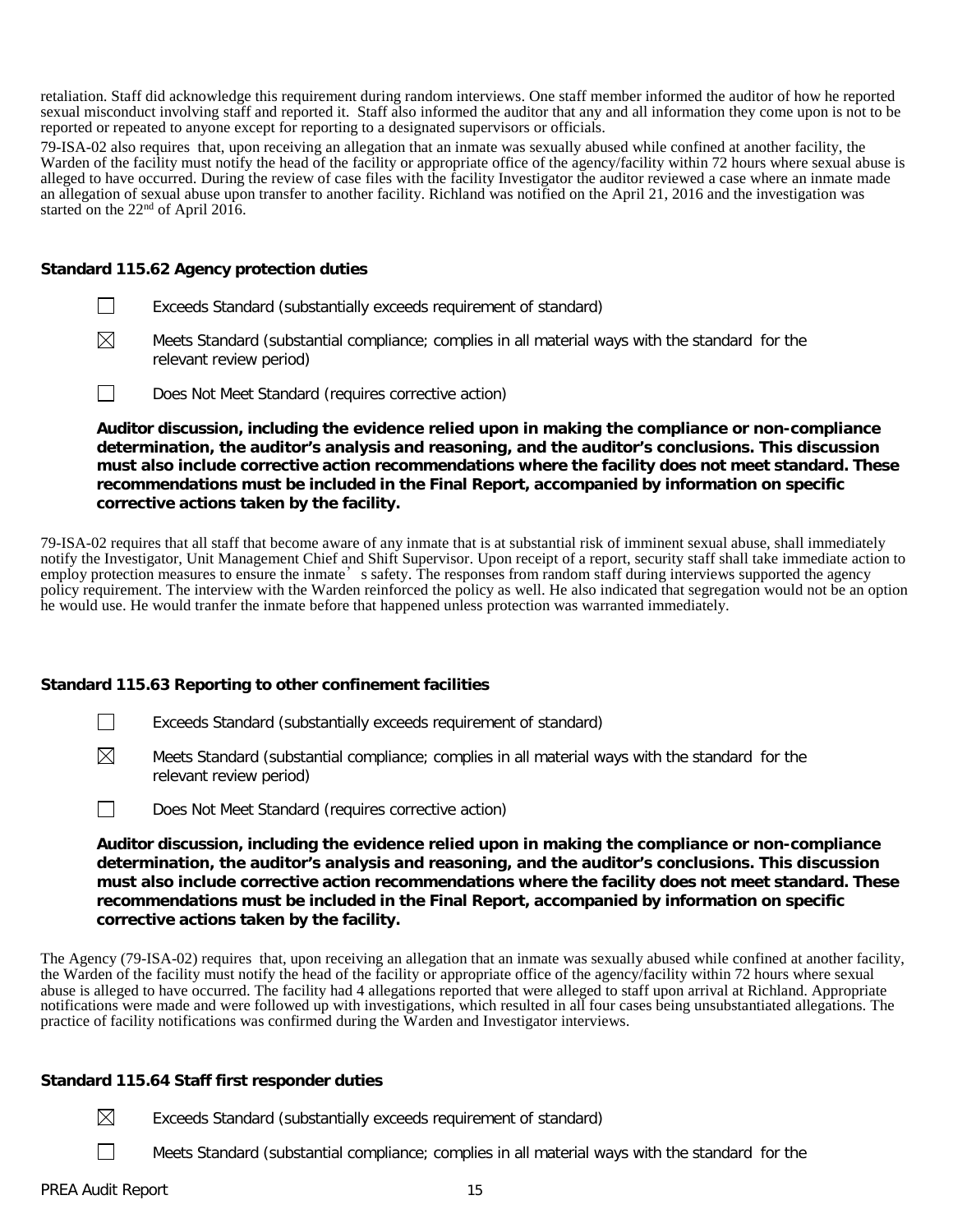retaliation. Staff did acknowledge this requirement during random interviews. One staff member informed the auditor of how he reported sexual misconduct involving staff and reported it. Staff also informed the auditor that any and all information they come upon is not to be reported or repeated to anyone except for reporting to a designated supervisors or officials.

79-ISA-02 also requires that, upon receiving an allegation that an inmate was sexually abused while confined at another facility, the Warden of the facility must notify the head of the facility or appropriate office of the agency/facility within 72 hours where sexual abuse is alleged to have occurred. During the review of case files with the facility Investigator the auditor reviewed a case where an inmate made an allegation of sexual abuse upon transfer to another facility. Richland was notified on the April 21, 2016 and the investigation was started on the 22<sup>nd</sup> of April 2016.

#### **Standard 115.62 Agency protection duties**

- П Exceeds Standard (substantially exceeds requirement of standard)
- $\boxtimes$ Meets Standard (substantial compliance; complies in all material ways with the standard for the relevant review period)
- $\Box$ Does Not Meet Standard (requires corrective action)

**Auditor discussion, including the evidence relied upon in making the compliance or non-compliance determination, the auditor's analysis and reasoning, and the auditor's conclusions. This discussion must also include corrective action recommendations where the facility does not meet standard. These recommendations must be included in the Final Report, accompanied by information on specific corrective actions taken by the facility.**

79-ISA-02 requires that all staff that become aware of any inmate that is at substantial risk of imminent sexual abuse, shall immediately notify the Investigator, Unit Management Chief and Shift Supervisor. Upon receipt of a report, security staff shall take immediate action to employ protection measures to ensure the inmate's safety. The responses from random staff during interviews supported the agency policy requirement. The interview with the Warden reinforced the policy as well. He also indicated that segregation would not be an option he would use. He would tranfer the inmate before that happened unless protection was warranted immediately.

### **Standard 115.63 Reporting to other confinement facilities**

- $\Box$ Exceeds Standard (substantially exceeds requirement of standard)
- $\boxtimes$ Meets Standard (substantial compliance; complies in all material ways with the standard for the relevant review period)
- $\Box$ Does Not Meet Standard (requires corrective action)

**Auditor discussion, including the evidence relied upon in making the compliance or non-compliance determination, the auditor's analysis and reasoning, and the auditor's conclusions. This discussion must also include corrective action recommendations where the facility does not meet standard. These recommendations must be included in the Final Report, accompanied by information on specific corrective actions taken by the facility.**

The Agency (79-ISA-02) requires that, upon receiving an allegation that an inmate was sexually abused while confined at another facility, the Warden of the facility must notify the head of the facility or appropriate office of the agency/facility within 72 hours where sexual abuse is alleged to have occurred. The facility had 4 allegations reported that were alleged to staff upon arrival at Richland. Appropriate notifications were made and were followed up with investigations, which resulted in all four cases being unsubstantiated allegations. The practice of facility notifications was confirmed during the Warden and Investigator interviews.

### **Standard 115.64 Staff first responder duties**

- $\boxtimes$ Exceeds Standard (substantially exceeds requirement of standard)
	- Meets Standard (substantial compliance; complies in all material ways with the standard for the

 $\Box$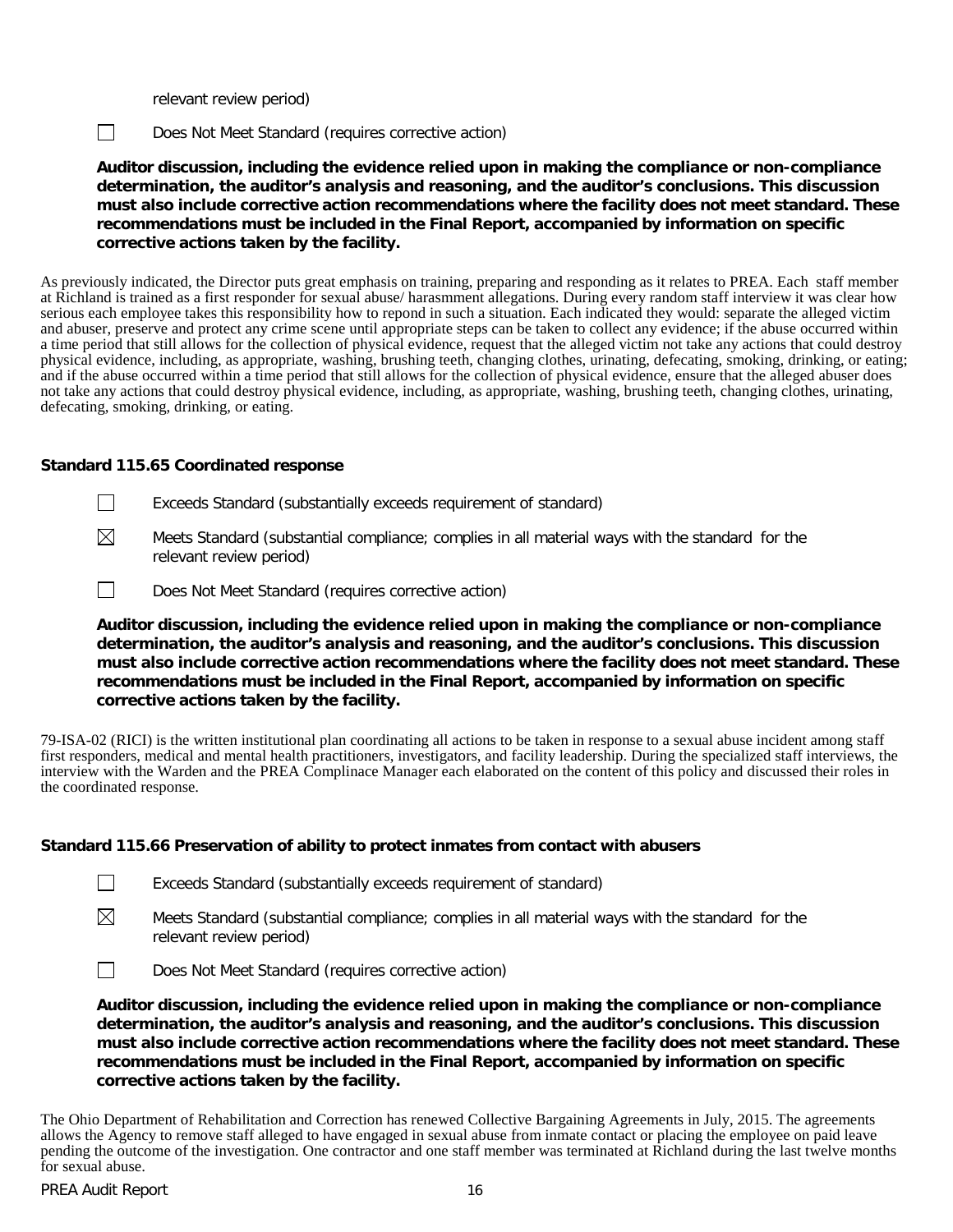relevant review period)

 $\Box$ 

Does Not Meet Standard (requires corrective action)

**Auditor discussion, including the evidence relied upon in making the compliance or non-compliance determination, the auditor's analysis and reasoning, and the auditor's conclusions. This discussion must also include corrective action recommendations where the facility does not meet standard. These recommendations must be included in the Final Report, accompanied by information on specific corrective actions taken by the facility.**

As previously indicated, the Director puts great emphasis on training, preparing and responding as it relates to PREA. Each staff member at Richland is trained as a first responder for sexual abuse/ harasmment allegations. During every random staff interview it was clear how serious each employee takes this responsibility how to repond in such a situation. Each indicated they would: separate the alleged victim and abuser, preserve and protect any crime scene until appropriate steps can be taken to collect any evidence; if the abuse occurred within a time period that still allows for the collection of physical evidence, request that the alleged victim not take any actions that could destroy physical evidence, including, as appropriate, washing, brushing teeth, changing clothes, urinating, defecating, smoking, drinking, or eating; and if the abuse occurred within a time period that still allows for the collection of physical evidence, ensure that the alleged abuser does not take any actions that could destroy physical evidence, including, as appropriate, washing, brushing teeth, changing clothes, urinating, defecating, smoking, drinking, or eating.

# **Standard 115.65 Coordinated response**

- П Exceeds Standard (substantially exceeds requirement of standard)
- ⊠ Meets Standard (substantial compliance; complies in all material ways with the standard for the relevant review period)
- $\Box$ Does Not Meet Standard (requires corrective action)

**Auditor discussion, including the evidence relied upon in making the compliance or non-compliance determination, the auditor's analysis and reasoning, and the auditor's conclusions. This discussion must also include corrective action recommendations where the facility does not meet standard. These recommendations must be included in the Final Report, accompanied by information on specific corrective actions taken by the facility.**

79-ISA-02 (RICI) is the written institutional plan coordinating all actions to be taken in response to a sexual abuse incident among staff first responders, medical and mental health practitioners, investigators, and facility leadership. During the specialized staff interviews, the interview with the Warden and the PREA Complinace Manager each elaborated on the content of this policy and discussed their roles in the coordinated response.

# **Standard 115.66 Preservation of ability to protect inmates from contact with abusers**

 $\Box$ Exceeds Standard (substantially exceeds requirement of standard)

⊠ Meets Standard (substantial compliance; complies in all material ways with the standard for the relevant review period)



**Auditor discussion, including the evidence relied upon in making the compliance or non-compliance determination, the auditor's analysis and reasoning, and the auditor's conclusions. This discussion must also include corrective action recommendations where the facility does not meet standard. These recommendations must be included in the Final Report, accompanied by information on specific corrective actions taken by the facility.**

The Ohio Department of Rehabilitation and Correction has renewed Collective Bargaining Agreements in July, 2015. The agreements allows the Agency to remove staff alleged to have engaged in sexual abuse from inmate contact or placing the employee on paid leave pending the outcome of the investigation. One contractor and one staff member was terminated at Richland during the last twelve months for sexual abuse.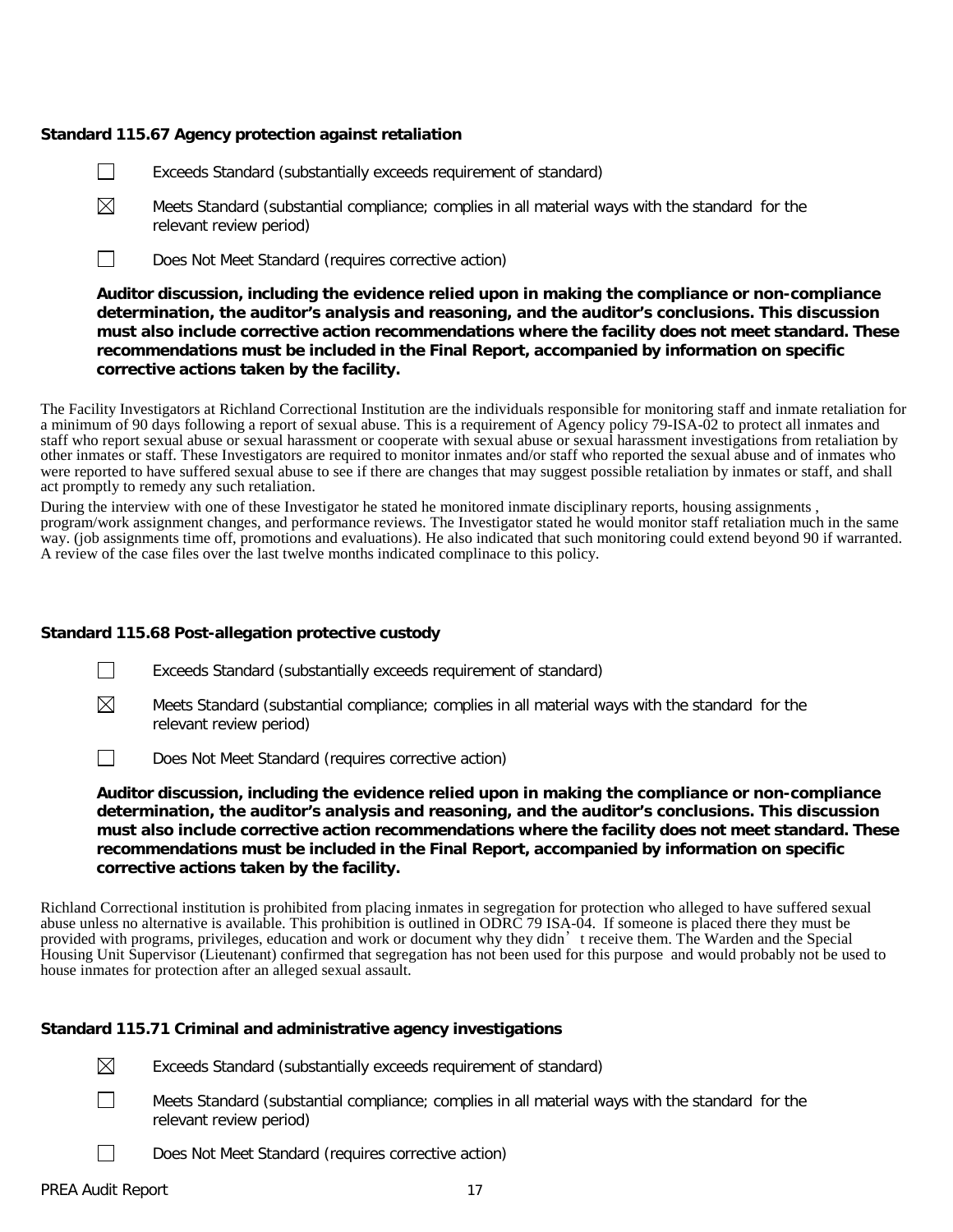# **Standard 115.67 Agency protection against retaliation**

- $\perp$ Exceeds Standard (substantially exceeds requirement of standard)
- $\boxtimes$ Meets Standard (substantial compliance; complies in all material ways with the standard for the relevant review period)
- $\Box$ Does Not Meet Standard (requires corrective action)

**Auditor discussion, including the evidence relied upon in making the compliance or non-compliance determination, the auditor's analysis and reasoning, and the auditor's conclusions. This discussion must also include corrective action recommendations where the facility does not meet standard. These recommendations must be included in the Final Report, accompanied by information on specific corrective actions taken by the facility.**

The Facility Investigators at Richland Correctional Institution are the individuals responsible for monitoring staff and inmate retaliation for a minimum of 90 days following a report of sexual abuse. This is a requirement of Agency policy 79-ISA-02 to protect all inmates and staff who report sexual abuse or sexual harassment or cooperate with sexual abuse or sexual harassment investigations from retaliation by other inmates or staff. These Investigators are required to monitor inmates and/or staff who reported the sexual abuse and of inmates who were reported to have suffered sexual abuse to see if there are changes that may suggest possible retaliation by inmates or staff, and shall act promptly to remedy any such retaliation.

During the interview with one of these Investigator he stated he monitored inmate disciplinary reports, housing assignments , program/work assignment changes, and performance reviews. The Investigator stated he would monitor staff retaliation much in the same way. (job assignments time off, promotions and evaluations). He also indicated that such monitoring could extend beyond 90 if warranted. A review of the case files over the last twelve months indicated complinace to this policy.

### **Standard 115.68 Post-allegation protective custody**

- $\Box$ Exceeds Standard (substantially exceeds requirement of standard)
- $\boxtimes$ Meets Standard (substantial compliance; complies in all material ways with the standard for the relevant review period)
- $\Box$ Does Not Meet Standard (requires corrective action)

**Auditor discussion, including the evidence relied upon in making the compliance or non-compliance determination, the auditor's analysis and reasoning, and the auditor's conclusions. This discussion must also include corrective action recommendations where the facility does not meet standard. These recommendations must be included in the Final Report, accompanied by information on specific corrective actions taken by the facility.**

Richland Correctional institution is prohibited from placing inmates in segregation for protection who alleged to have suffered sexual abuse unless no alternative is available. This prohibition is outlined in  $\overrightarrow{ODRCD}$  79 ISA-04. If someone is placed there they must be provided with programs, privileges, education and work or document why they didn't receive them. The Warden and the Special Housing Unit Supervisor (Lieutenant) confirmed that segregation has not been used for this purpose and would probably not be used to house inmates for protection after an alleged sexual assault.

### **Standard 115.71 Criminal and administrative agency investigations**

Exceeds Standard (substantially exceeds requirement of standard)

- Meets Standard (substantial compliance; complies in all material ways with the standard for the relevant review period)
- Does Not Meet Standard (requires corrective action)

 $\Box$ 

 $\boxtimes$ 

 $\perp$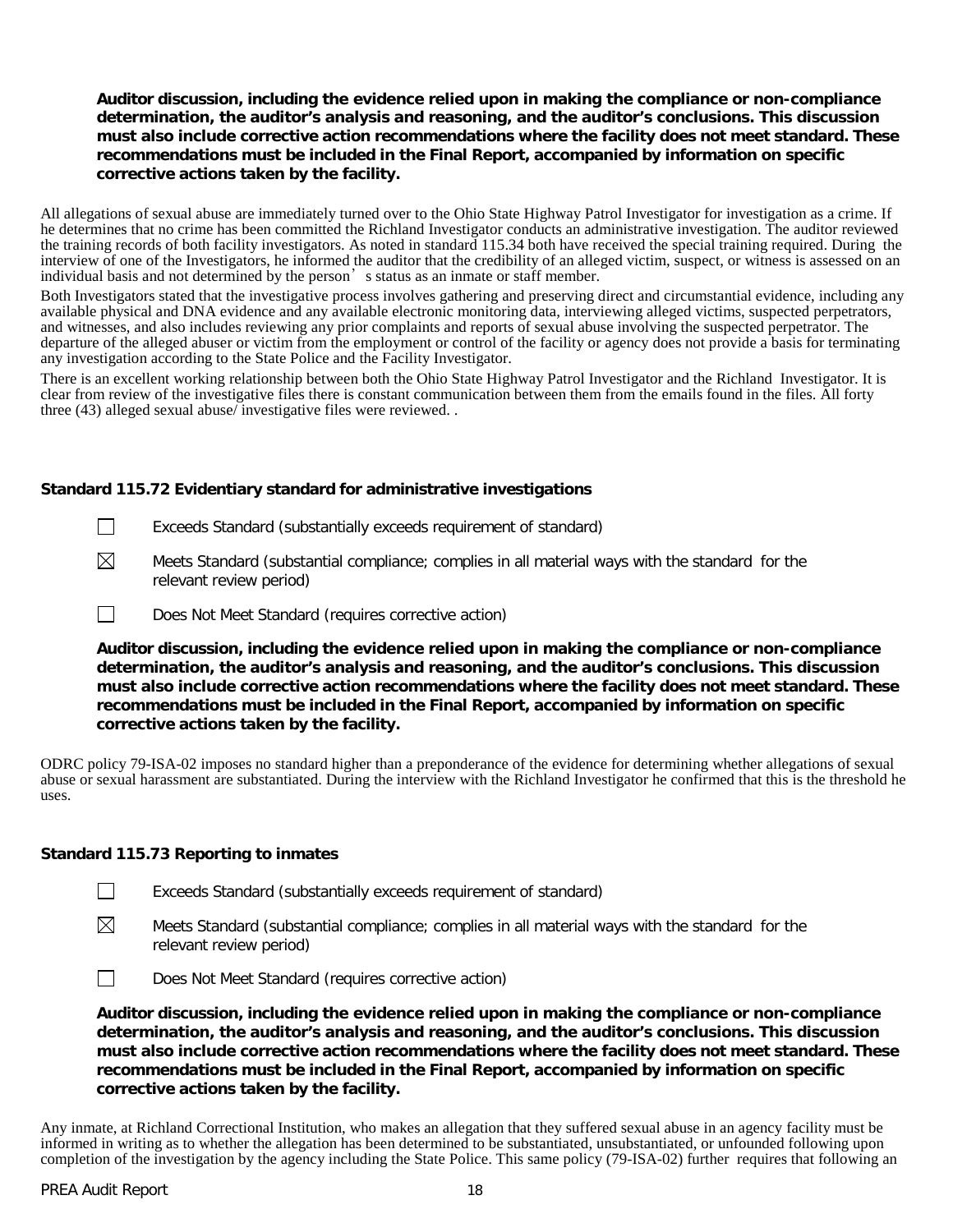# **Auditor discussion, including the evidence relied upon in making the compliance or non-compliance determination, the auditor's analysis and reasoning, and the auditor's conclusions. This discussion must also include corrective action recommendations where the facility does not meet standard. These recommendations must be included in the Final Report, accompanied by information on specific corrective actions taken by the facility.**

All allegations of sexual abuse are immediately turned over to the Ohio State Highway Patrol Investigator for investigation as a crime. If he determines that no crime has been committed the Richland Investigator conducts an administrative investigation. The auditor reviewed the training records of both facility investigators. As noted in standard 115.34 both have received the special training required. During the interview of one of the Investigators, he informed the auditor that the credibility of an alleged victim, suspect, or witness is assessed on an individual basis and not determined by the person's status as an inmate or staff member.

Both Investigators stated that the investigative process involves gathering and preserving direct and circumstantial evidence, including any available physical and DNA evidence and any available electronic monitoring data, interviewing alleged victims, suspected perpetrators, and witnesses, and also includes reviewing any prior complaints and reports of sexual abuse involving the suspected perpetrator. The departure of the alleged abuser or victim from the employment or control of the facility or agency does not provide a basis for terminating any investigation according to the State Police and the Facility Investigator.

There is an excellent working relationship between both the Ohio State Highway Patrol Investigator and the Richland Investigator. It is clear from review of the investigative files there is constant communication between them from the emails found in the files. All forty three (43) alleged sexual abuse/ investigative files were reviewed. .

# **Standard 115.72 Evidentiary standard for administrative investigations**

- $\Box$ Exceeds Standard (substantially exceeds requirement of standard)
- $\boxtimes$ Meets Standard (substantial compliance; complies in all material ways with the standard for the relevant review period)
- $\Box$ Does Not Meet Standard (requires corrective action)

**Auditor discussion, including the evidence relied upon in making the compliance or non-compliance determination, the auditor's analysis and reasoning, and the auditor's conclusions. This discussion must also include corrective action recommendations where the facility does not meet standard. These recommendations must be included in the Final Report, accompanied by information on specific corrective actions taken by the facility.**

ODRC policy 79-ISA-02 imposes no standard higher than a preponderance of the evidence for determining whether allegations of sexual abuse or sexual harassment are substantiated. During the interview with the Richland Investigator he confirmed that this is the threshold he uses.

### **Standard 115.73 Reporting to inmates**

- Exceeds Standard (substantially exceeds requirement of standard)
- $\boxtimes$ Meets Standard (substantial compliance; complies in all material ways with the standard for the relevant review period)
- $\Box$ Does Not Meet Standard (requires corrective action)

**Auditor discussion, including the evidence relied upon in making the compliance or non-compliance determination, the auditor's analysis and reasoning, and the auditor's conclusions. This discussion must also include corrective action recommendations where the facility does not meet standard. These recommendations must be included in the Final Report, accompanied by information on specific corrective actions taken by the facility.**

Any inmate, at Richland Correctional Institution, who makes an allegation that they suffered sexual abuse in an agency facility must be informed in writing as to whether the allegation has been determined to be substantiated, unsubstantiated, or unfounded following upon completion of the investigation by the agency including the State Police. This same policy (79-ISA-02) further requires that following an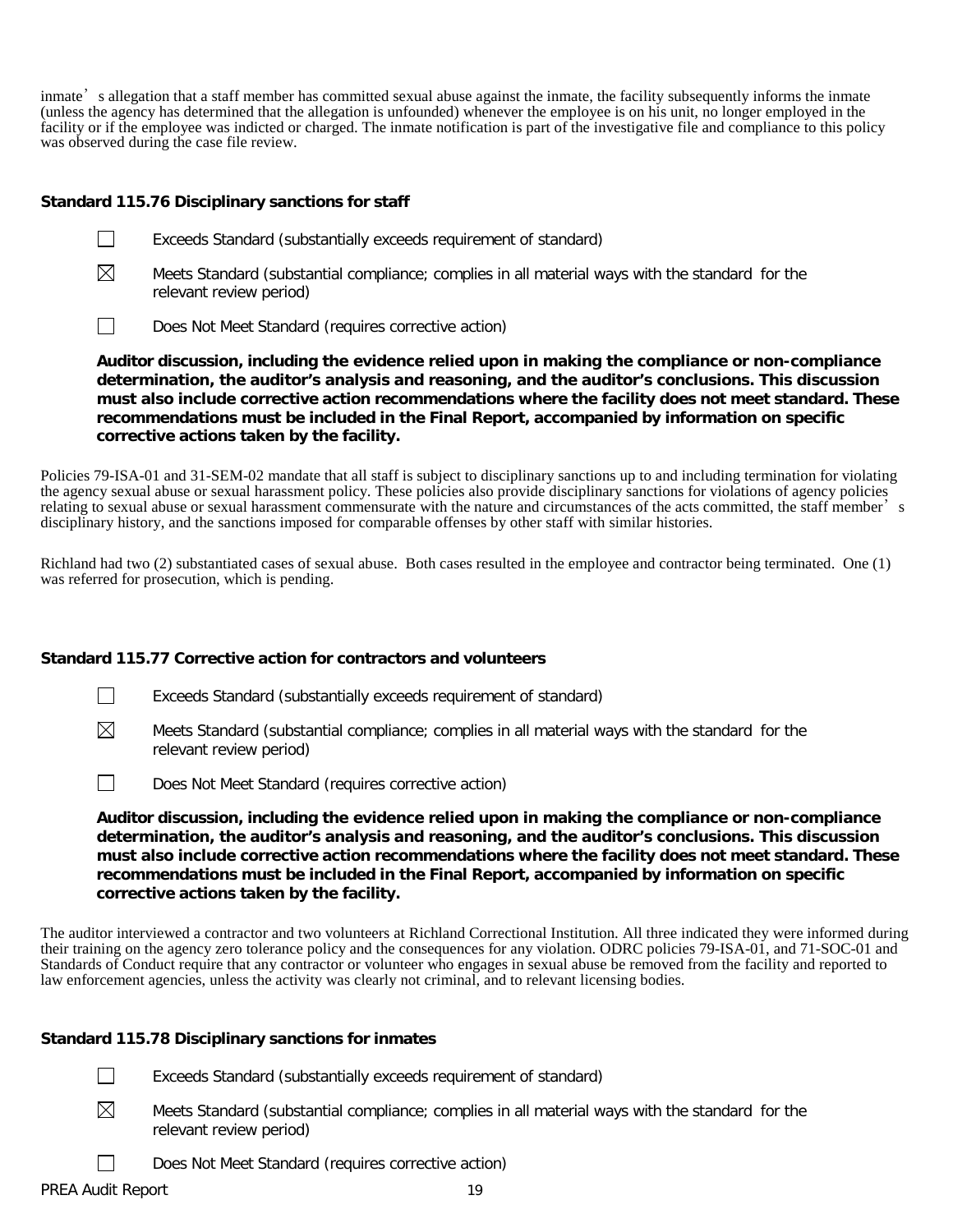inmate's allegation that a staff member has committed sexual abuse against the inmate, the facility subsequently informs the inmate (unless the agency has determined that the allegation is unfounded) whenever the employee is on his unit, no longer employed in the facility or if the employee was indicted or charged. The inmate notification is part of the investigative file and compliance to this policy was observed during the case file review.

### **Standard 115.76 Disciplinary sanctions for staff**

- $\Box$ Exceeds Standard (substantially exceeds requirement of standard)
- $\boxtimes$ Meets Standard (substantial compliance; complies in all material ways with the standard for the relevant review period)
- $\Box$ Does Not Meet Standard (requires corrective action)

**Auditor discussion, including the evidence relied upon in making the compliance or non-compliance determination, the auditor's analysis and reasoning, and the auditor's conclusions. This discussion must also include corrective action recommendations where the facility does not meet standard. These recommendations must be included in the Final Report, accompanied by information on specific corrective actions taken by the facility.**

Policies 79-ISA-01 and 31-SEM-02 mandate that all staff is subject to disciplinary sanctions up to and including termination for violating the agency sexual abuse or sexual harassment policy. These policies also provide disciplinary sanctions for violations of agency policies relating to sexual abuse or sexual harassment commensurate with the nature and circumstances of the acts committed, the staff member's disciplinary history, and the sanctions imposed for comparable offenses by other staff with similar histories.

Richland had two (2) substantiated cases of sexual abuse. Both cases resulted in the employee and contractor being terminated. One (1) was referred for prosecution, which is pending.

### **Standard 115.77 Corrective action for contractors and volunteers**

- $\Box$ Exceeds Standard (substantially exceeds requirement of standard)
- ⊠ Meets Standard (substantial compliance; complies in all material ways with the standard for the relevant review period)
- $\Box$ Does Not Meet Standard (requires corrective action)

**Auditor discussion, including the evidence relied upon in making the compliance or non-compliance determination, the auditor's analysis and reasoning, and the auditor's conclusions. This discussion must also include corrective action recommendations where the facility does not meet standard. These recommendations must be included in the Final Report, accompanied by information on specific corrective actions taken by the facility.**

The auditor interviewed a contractor and two volunteers at Richland Correctional Institution. All three indicated they were informed during their training on the agency zero tolerance policy and the consequences for any violation. ODRC policies 79-ISA-01, and 71-SOC-01 and Standards of Conduct require that any contractor or volunteer who engages in sexual abuse be removed from the facility and reported to law enforcement agencies, unless the activity was clearly not criminal, and to relevant licensing bodies.

### **Standard 115.78 Disciplinary sanctions for inmates**

- Exceeds Standard (substantially exceeds requirement of standard)  $\perp$
- $\boxtimes$ Meets Standard (substantial compliance; complies in all material ways with the standard for the relevant review period)
	- Does Not Meet Standard (requires corrective action)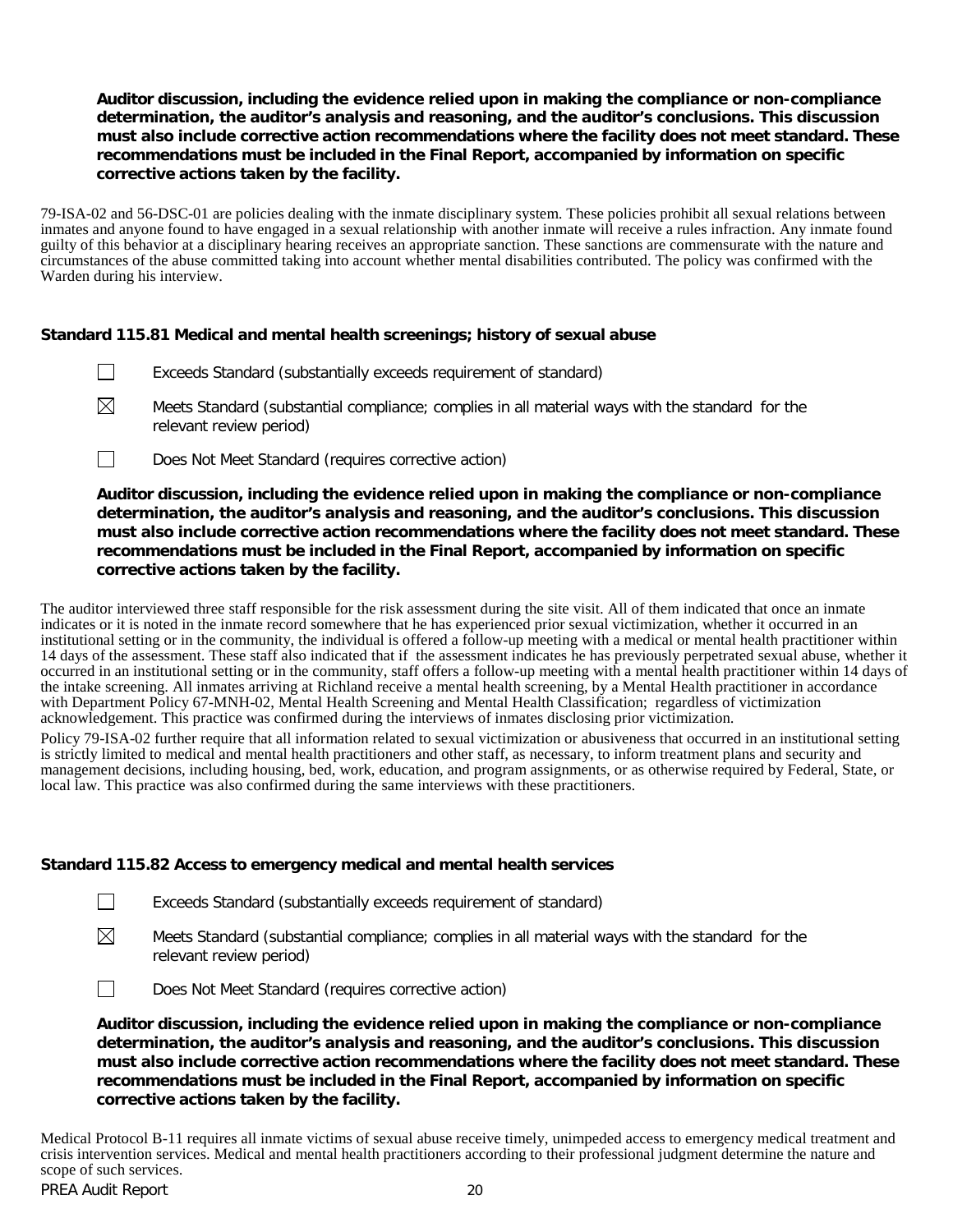# **Auditor discussion, including the evidence relied upon in making the compliance or non-compliance determination, the auditor's analysis and reasoning, and the auditor's conclusions. This discussion must also include corrective action recommendations where the facility does not meet standard. These recommendations must be included in the Final Report, accompanied by information on specific corrective actions taken by the facility.**

79-ISA-02 and 56-DSC-01 are policies dealing with the inmate disciplinary system. These policies prohibit all sexual relations between inmates and anyone found to have engaged in a sexual relationship with another inmate will receive a rules infraction. Any inmate found guilty of this behavior at a disciplinary hearing receives an appropriate sanction. These sanctions are commensurate with the nature and circumstances of the abuse committed taking into account whether mental disabilities contributed. The policy was confirmed with the Warden during his interview.

# **Standard 115.81 Medical and mental health screenings; history of sexual abuse**

- $\Box$ Exceeds Standard (substantially exceeds requirement of standard)
- $\boxtimes$ Meets Standard (substantial compliance; complies in all material ways with the standard for the relevant review period)
- $\Box$ Does Not Meet Standard (requires corrective action)

**Auditor discussion, including the evidence relied upon in making the compliance or non-compliance determination, the auditor's analysis and reasoning, and the auditor's conclusions. This discussion must also include corrective action recommendations where the facility does not meet standard. These recommendations must be included in the Final Report, accompanied by information on specific corrective actions taken by the facility.**

The auditor interviewed three staff responsible for the risk assessment during the site visit. All of them indicated that once an inmate indicates or it is noted in the inmate record somewhere that he has experienced prior sexual victimization, whether it occurred in an institutional setting or in the community, the individual is offered a follow-up meeting with a medical or mental health practitioner within 14 days of the assessment. These staff also indicated that if the assessment indicates he has previously perpetrated sexual abuse, whether it occurred in an institutional setting or in the community, staff offers a follow-up meeting with a mental health practitioner within 14 days of the intake screening. All inmates arriving at Richland receive a mental health screening, by a Mental Health practitioner in accordance with Department Policy 67-MNH-02, Mental Health Screening and Mental Health Classification; regardless of victimization acknowledgement. This practice was confirmed during the interviews of inmates disclosing prior victimization.

Policy 79-ISA-02 further require that all information related to sexual victimization or abusiveness that occurred in an institutional setting is strictly limited to medical and mental health practitioners and other staff, as necessary, to inform treatment plans and security and management decisions, including housing, bed, work, education, and program assignments, or as otherwise required by Federal, State, or local law. This practice was also confirmed during the same interviews with these practitioners.

# **Standard 115.82 Access to emergency medical and mental health services**

- $\Box$ Exceeds Standard (substantially exceeds requirement of standard)
- $\boxtimes$ Meets Standard (substantial compliance; complies in all material ways with the standard for the relevant review period)
- $\Box$ Does Not Meet Standard (requires corrective action)

**Auditor discussion, including the evidence relied upon in making the compliance or non-compliance determination, the auditor's analysis and reasoning, and the auditor's conclusions. This discussion must also include corrective action recommendations where the facility does not meet standard. These recommendations must be included in the Final Report, accompanied by information on specific corrective actions taken by the facility.**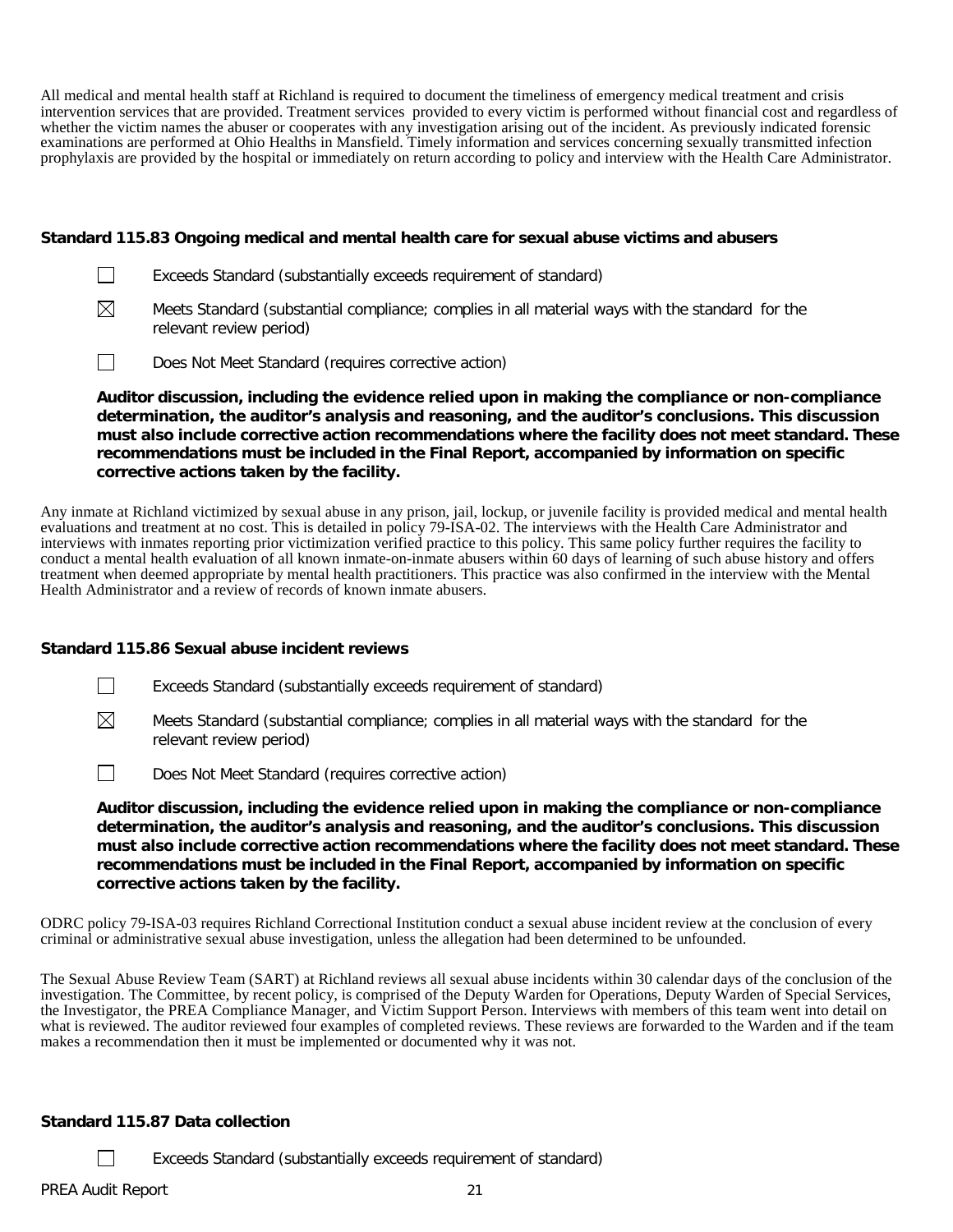All medical and mental health staff at Richland is required to document the timeliness of emergency medical treatment and crisis intervention services that are provided. Treatment services provided to every victim is performed without financial cost and regardless of whether the victim names the abuser or cooperates with any investigation arising out of the incident. As previously indicated forensic examinations are performed at Ohio Healths in Mansfield. Timely information and services concerning sexually transmitted infection prophylaxis are provided by the hospital or immediately on return according to policy and interview with the Health Care Administrator.

### **Standard 115.83 Ongoing medical and mental health care for sexual abuse victims and abusers**

- $\Box$ Exceeds Standard (substantially exceeds requirement of standard)
- $\boxtimes$ Meets Standard (substantial compliance; complies in all material ways with the standard for the relevant review period)
- $\Box$ Does Not Meet Standard (requires corrective action)

**Auditor discussion, including the evidence relied upon in making the compliance or non-compliance determination, the auditor's analysis and reasoning, and the auditor's conclusions. This discussion must also include corrective action recommendations where the facility does not meet standard. These recommendations must be included in the Final Report, accompanied by information on specific corrective actions taken by the facility.**

Any inmate at Richland victimized by sexual abuse in any prison, jail, lockup, or juvenile facility is provided medical and mental health evaluations and treatment at no cost. This is detailed in policy 79-ISA-02. The interviews with the Health Care Administrator and interviews with inmates reporting prior victimization verified practice to this policy. This same policy further requires the facility to conduct a mental health evaluation of all known inmate-on-inmate abusers within 60 days of learning of such abuse history and offers treatment when deemed appropriate by mental health practitioners. This practice was also confirmed in the interview with the Mental Health Administrator and a review of records of known inmate abusers.

### **Standard 115.86 Sexual abuse incident reviews**

- $\Box$ Exceeds Standard (substantially exceeds requirement of standard)
- $\boxtimes$ Meets Standard (substantial compliance; complies in all material ways with the standard for the relevant review period)
- $\Box$ Does Not Meet Standard (requires corrective action)

**Auditor discussion, including the evidence relied upon in making the compliance or non-compliance determination, the auditor's analysis and reasoning, and the auditor's conclusions. This discussion must also include corrective action recommendations where the facility does not meet standard. These recommendations must be included in the Final Report, accompanied by information on specific corrective actions taken by the facility.**

ODRC policy 79-ISA-03 requires Richland Correctional Institution conduct a sexual abuse incident review at the conclusion of every criminal or administrative sexual abuse investigation, unless the allegation had been determined to be unfounded.

The Sexual Abuse Review Team (SART) at Richland reviews all sexual abuse incidents within 30 calendar days of the conclusion of the investigation. The Committee, by recent policy, is comprised of the Deputy Warden for Oper the Investigator, the PREA Compliance Manager, and Victim Support Person. Interviews with members of this team went into detail on what is reviewed. The auditor reviewed four examples of completed reviews. These reviews are forwarded to the Warden and if the team makes a recommendation then it must be implemented or documented why it was not.

# **Standard 115.87 Data collection**

Exceeds Standard (substantially exceeds requirement of standard)

 $\Box$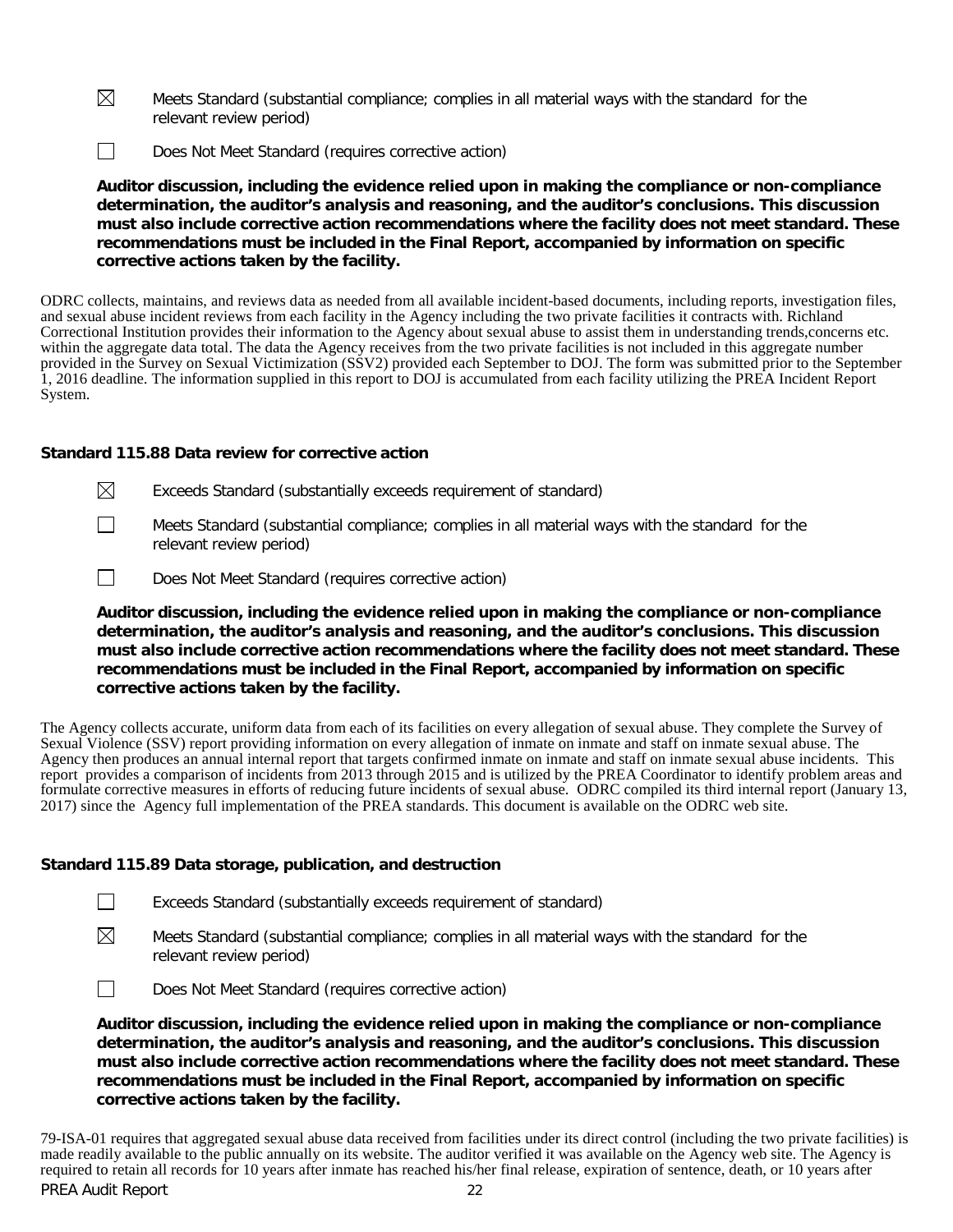- $\boxtimes$ Meets Standard (substantial compliance; complies in all material ways with the standard for the relevant review period)
- $\Box$ Does Not Meet Standard (requires corrective action)

**Auditor discussion, including the evidence relied upon in making the compliance or non-compliance determination, the auditor's analysis and reasoning, and the auditor's conclusions. This discussion must also include corrective action recommendations where the facility does not meet standard. These recommendations must be included in the Final Report, accompanied by information on specific corrective actions taken by the facility.**

ODRC collects, maintains, and reviews data as needed from all available incident-based documents, including reports, investigation files, and sexual abuse incident reviews from each facility in the Agency including the two private facilities it contracts with. Richland Correctional Institution provides their information to the Agency about sexual abuse to assist them in understanding trends,concerns etc. within the aggregate data total. The data the Agency receives from the two private facilities is not included in this aggregate number provided in the Survey on Sexual Victimization (SSV2) provided each September to DOJ. The form was submitted prior to the September 1, 2016 deadline. The information supplied in this report to DOJ is accumulated from each facility utilizing the PREA Incident Report System.

# **Standard 115.88 Data review for corrective action**

- $\boxtimes$ Exceeds Standard (substantially exceeds requirement of standard)
- $\Box$ Meets Standard (substantial compliance; complies in all material ways with the standard for the relevant review period)
- $\Box$ Does Not Meet Standard (requires corrective action)

**Auditor discussion, including the evidence relied upon in making the compliance or non-compliance determination, the auditor's analysis and reasoning, and the auditor's conclusions. This discussion must also include corrective action recommendations where the facility does not meet standard. These recommendations must be included in the Final Report, accompanied by information on specific corrective actions taken by the facility.**

The Agency collects accurate, uniform data from each of its facilities on every allegation of sexual abuse. They complete the Survey of Sexual Violence (SSV) report providing information on every allegation of inmate on inmate and staff on inmate sexual abuse. The Agency then produces an annual internal report that targets confirmed inmate on inmate and staff on inmate sexual abuse incidents. This report provides a comparison of incidents from 2013 through 2015 and is utilized by the PREA Coordinator to identify problem areas and formulate corrective measures in efforts of reducing future incidents of sexual abuse. ODRC compiled its third internal report (January 13, 2017) since the Agency full implementation of the PREA standards. This document is available on the ODRC web site.

### **Standard 115.89 Data storage, publication, and destruction**

- $\boxtimes$ Meets Standard (substantial compliance; complies in all material ways with the standard for the relevant review period)
- $\Box$ Does Not Meet Standard (requires corrective action)

**Auditor discussion, including the evidence relied upon in making the compliance or non-compliance determination, the auditor's analysis and reasoning, and the auditor's conclusions. This discussion must also include corrective action recommendations where the facility does not meet standard. These recommendations must be included in the Final Report, accompanied by information on specific corrective actions taken by the facility.**

PREA Audit Report 22 79-ISA-01 requires that aggregated sexual abuse data received from facilities under its direct control (including the two private facilities) is made readily available to the public annually on its website. The auditor verified it was available on the Agency web site. The Agency is required to retain all records for 10 years after inmate has reached his/her final release, expiration of sentence, death, or 10 years after